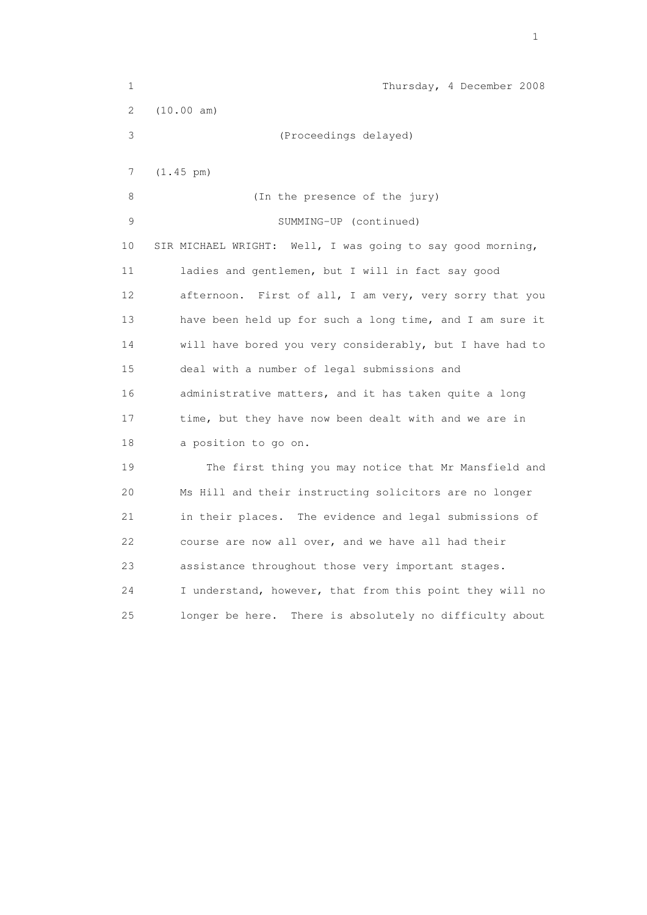| 1  | Thursday, 4 December 2008                                  |
|----|------------------------------------------------------------|
| 2  | (10.00 am)                                                 |
| 3  | (Proceedings delayed)                                      |
| 7  | $(1.45 \text{ pm})$                                        |
|    |                                                            |
| 8  | (In the presence of the jury)                              |
| 9  | SUMMING-UP (continued)                                     |
| 10 | SIR MICHAEL WRIGHT: Well, I was going to say good morning, |
| 11 | ladies and gentlemen, but I will in fact say good          |
| 12 | First of all, I am very, very sorry that you<br>afternoon. |
| 13 | have been held up for such a long time, and I am sure it   |
| 14 | will have bored you very considerably, but I have had to   |
| 15 | deal with a number of legal submissions and                |
| 16 | administrative matters, and it has taken quite a long      |
| 17 | time, but they have now been dealt with and we are in      |
| 18 | a position to go on.                                       |
| 19 | The first thing you may notice that Mr Mansfield and       |
| 20 | Ms Hill and their instructing solicitors are no longer     |
| 21 | in their places. The evidence and legal submissions of     |
| 22 | course are now all over, and we have all had their         |
| 23 | assistance throughout those very important stages.         |
| 24 | I understand, however, that from this point they will no   |
| 25 | There is absolutely no difficulty about<br>longer be here. |

the contract of the contract of the contract of the contract of the contract of the contract of the contract of the contract of the contract of the contract of the contract of the contract of the contract of the contract o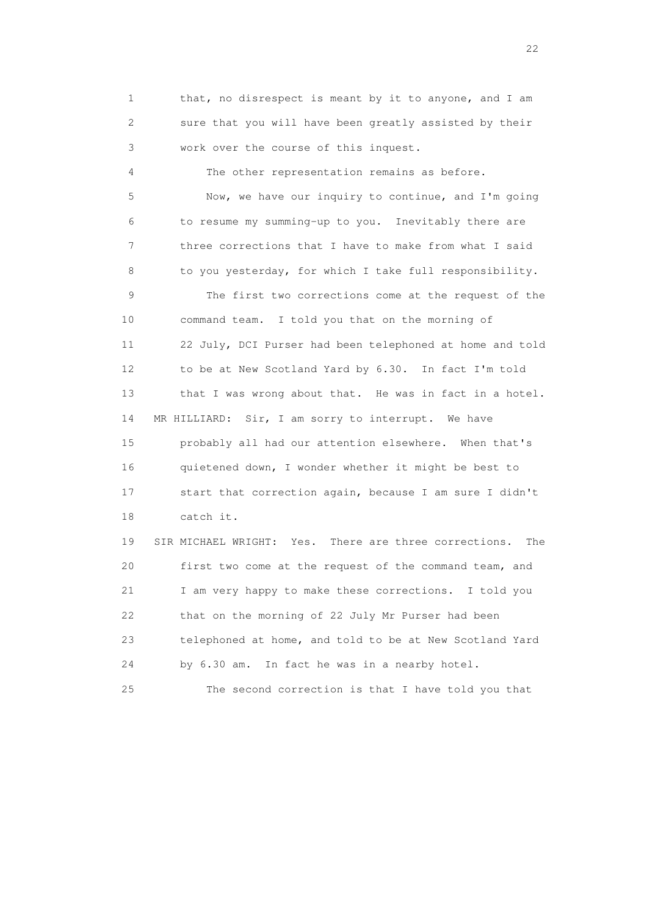1 that, no disrespect is meant by it to anyone, and I am 2 sure that you will have been greatly assisted by their 3 work over the course of this inquest.

4 The other representation remains as before.

 5 Now, we have our inquiry to continue, and I'm going 6 to resume my summing-up to you. Inevitably there are 7 three corrections that I have to make from what I said 8 to you yesterday, for which I take full responsibility. 9 The first two corrections come at the request of the 10 command team. I told you that on the morning of 11 22 July, DCI Purser had been telephoned at home and told 12 to be at New Scotland Yard by 6.30. In fact I'm told 13 that I was wrong about that. He was in fact in a hotel. 14 MR HILLIARD: Sir, I am sorry to interrupt. We have 15 probably all had our attention elsewhere. When that's 16 quietened down, I wonder whether it might be best to 17 start that correction again, because I am sure I didn't 18 catch it.

 19 SIR MICHAEL WRIGHT: Yes. There are three corrections. The 20 first two come at the request of the command team, and 21 I am very happy to make these corrections. I told you 22 that on the morning of 22 July Mr Purser had been 23 telephoned at home, and told to be at New Scotland Yard 24 by 6.30 am. In fact he was in a nearby hotel.

25 The second correction is that I have told you that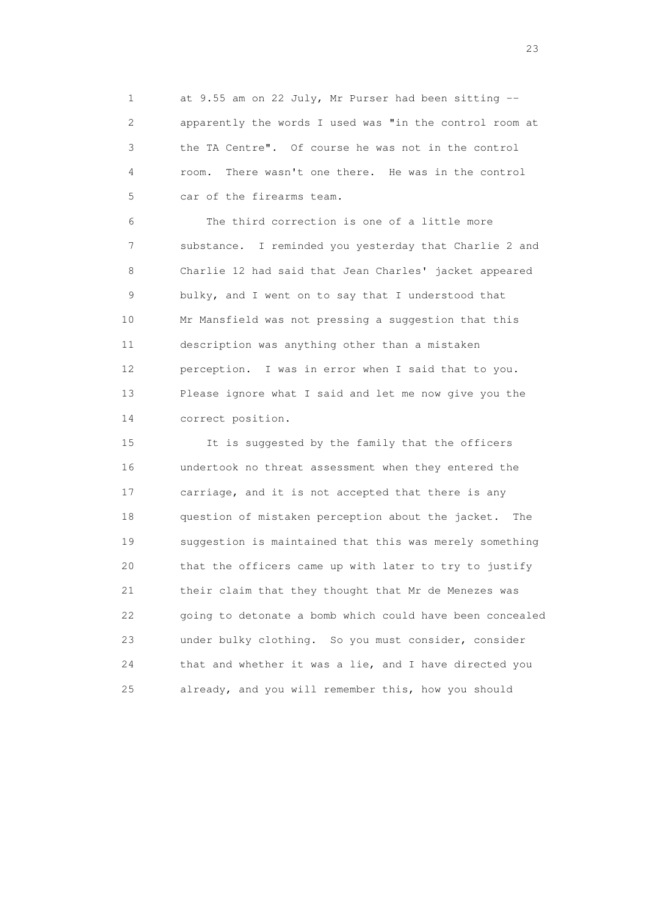1 at 9.55 am on 22 July, Mr Purser had been sitting -- 2 apparently the words I used was "in the control room at 3 the TA Centre". Of course he was not in the control 4 room. There wasn't one there. He was in the control 5 car of the firearms team.

 6 The third correction is one of a little more 7 substance. I reminded you yesterday that Charlie 2 and 8 Charlie 12 had said that Jean Charles' jacket appeared 9 bulky, and I went on to say that I understood that 10 Mr Mansfield was not pressing a suggestion that this 11 description was anything other than a mistaken 12 perception. I was in error when I said that to you. 13 Please ignore what I said and let me now give you the 14 correct position.

 15 It is suggested by the family that the officers 16 undertook no threat assessment when they entered the 17 carriage, and it is not accepted that there is any 18 question of mistaken perception about the jacket. The 19 suggestion is maintained that this was merely something 20 that the officers came up with later to try to justify 21 their claim that they thought that Mr de Menezes was 22 going to detonate a bomb which could have been concealed 23 under bulky clothing. So you must consider, consider 24 that and whether it was a lie, and I have directed you 25 already, and you will remember this, how you should

23 and 23 and 23 and 23 and 23 and 23 and 23 and 23 and 23 and 23 and 23 and 23 and 23 and 23 and 23 and 23 and 24 and 25 and 25 and 26 and 26 and 26 and 26 and 26 and 26 and 26 and 26 and 26 and 26 and 26 and 26 and 26 an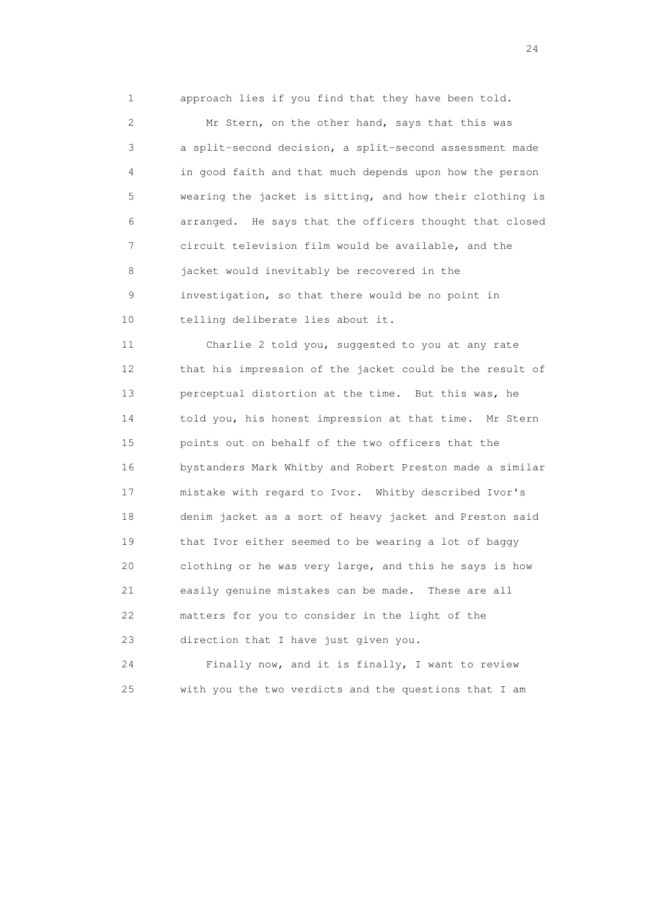1 approach lies if you find that they have been told.

 2 Mr Stern, on the other hand, says that this was 3 a split-second decision, a split-second assessment made 4 in good faith and that much depends upon how the person 5 wearing the jacket is sitting, and how their clothing is 6 arranged. He says that the officers thought that closed 7 circuit television film would be available, and the 8 jacket would inevitably be recovered in the 9 investigation, so that there would be no point in 10 telling deliberate lies about it.

 11 Charlie 2 told you, suggested to you at any rate 12 that his impression of the jacket could be the result of 13 perceptual distortion at the time. But this was, he 14 told you, his honest impression at that time. Mr Stern 15 points out on behalf of the two officers that the 16 bystanders Mark Whitby and Robert Preston made a similar 17 mistake with regard to Ivor. Whitby described Ivor's 18 denim jacket as a sort of heavy jacket and Preston said 19 that Ivor either seemed to be wearing a lot of baggy 20 clothing or he was very large, and this he says is how 21 easily genuine mistakes can be made. These are all 22 matters for you to consider in the light of the 23 direction that I have just given you.

 24 Finally now, and it is finally, I want to review 25 with you the two verdicts and the questions that I am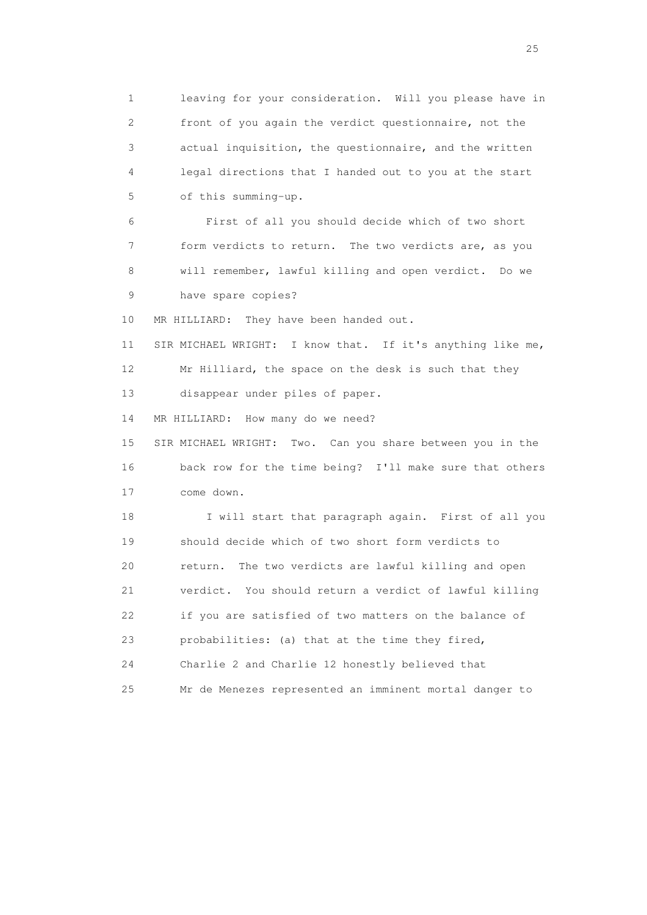1 leaving for your consideration. Will you please have in 2 front of you again the verdict questionnaire, not the 3 actual inquisition, the questionnaire, and the written 4 legal directions that I handed out to you at the start 5 of this summing-up.

 6 First of all you should decide which of two short 7 form verdicts to return. The two verdicts are, as you 8 will remember, lawful killing and open verdict. Do we 9 have spare copies?

10 MR HILLIARD: They have been handed out.

 11 SIR MICHAEL WRIGHT: I know that. If it's anything like me, 12 Mr Hilliard, the space on the desk is such that they 13 disappear under piles of paper.

14 MR HILLIARD: How many do we need?

 15 SIR MICHAEL WRIGHT: Two. Can you share between you in the 16 back row for the time being? I'll make sure that others 17 come down.

 18 I will start that paragraph again. First of all you 19 should decide which of two short form verdicts to 20 return. The two verdicts are lawful killing and open 21 verdict. You should return a verdict of lawful killing 22 if you are satisfied of two matters on the balance of 23 probabilities: (a) that at the time they fired, 24 Charlie 2 and Charlie 12 honestly believed that 25 Mr de Menezes represented an imminent mortal danger to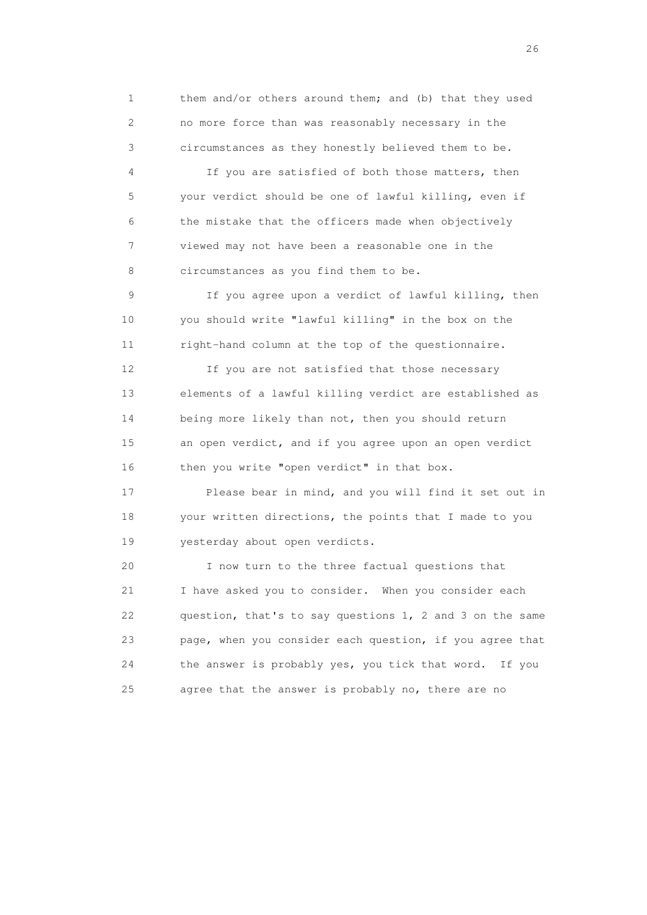1 them and/or others around them; and (b) that they used 2 no more force than was reasonably necessary in the 3 circumstances as they honestly believed them to be.

 4 If you are satisfied of both those matters, then 5 your verdict should be one of lawful killing, even if 6 the mistake that the officers made when objectively 7 viewed may not have been a reasonable one in the 8 circumstances as you find them to be.

 9 If you agree upon a verdict of lawful killing, then 10 you should write "lawful killing" in the box on the 11 right-hand column at the top of the questionnaire.

 12 If you are not satisfied that those necessary 13 elements of a lawful killing verdict are established as 14 being more likely than not, then you should return 15 an open verdict, and if you agree upon an open verdict 16 then you write "open verdict" in that box.

 17 Please bear in mind, and you will find it set out in 18 your written directions, the points that I made to you 19 yesterday about open verdicts.

 20 I now turn to the three factual questions that 21 I have asked you to consider. When you consider each 22 question, that's to say questions 1, 2 and 3 on the same 23 page, when you consider each question, if you agree that 24 the answer is probably yes, you tick that word. If you 25 agree that the answer is probably no, there are no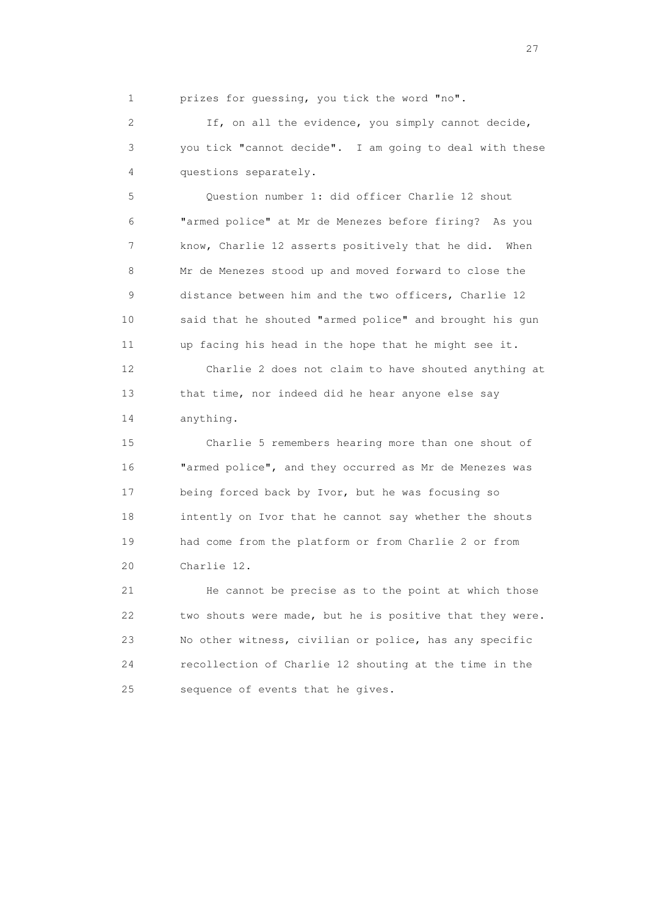1 prizes for guessing, you tick the word "no".

 2 If, on all the evidence, you simply cannot decide, 3 you tick "cannot decide". I am going to deal with these 4 questions separately.

 5 Question number 1: did officer Charlie 12 shout 6 "armed police" at Mr de Menezes before firing? As you 7 know, Charlie 12 asserts positively that he did. When 8 Mr de Menezes stood up and moved forward to close the 9 distance between him and the two officers, Charlie 12 10 said that he shouted "armed police" and brought his gun 11 up facing his head in the hope that he might see it.

 12 Charlie 2 does not claim to have shouted anything at 13 that time, nor indeed did he hear anyone else say 14 anything.

 15 Charlie 5 remembers hearing more than one shout of 16 "armed police", and they occurred as Mr de Menezes was 17 being forced back by Ivor, but he was focusing so 18 intently on Ivor that he cannot say whether the shouts 19 had come from the platform or from Charlie 2 or from 20 Charlie 12.

 21 He cannot be precise as to the point at which those 22 two shouts were made, but he is positive that they were. 23 No other witness, civilian or police, has any specific 24 recollection of Charlie 12 shouting at the time in the 25 sequence of events that he gives.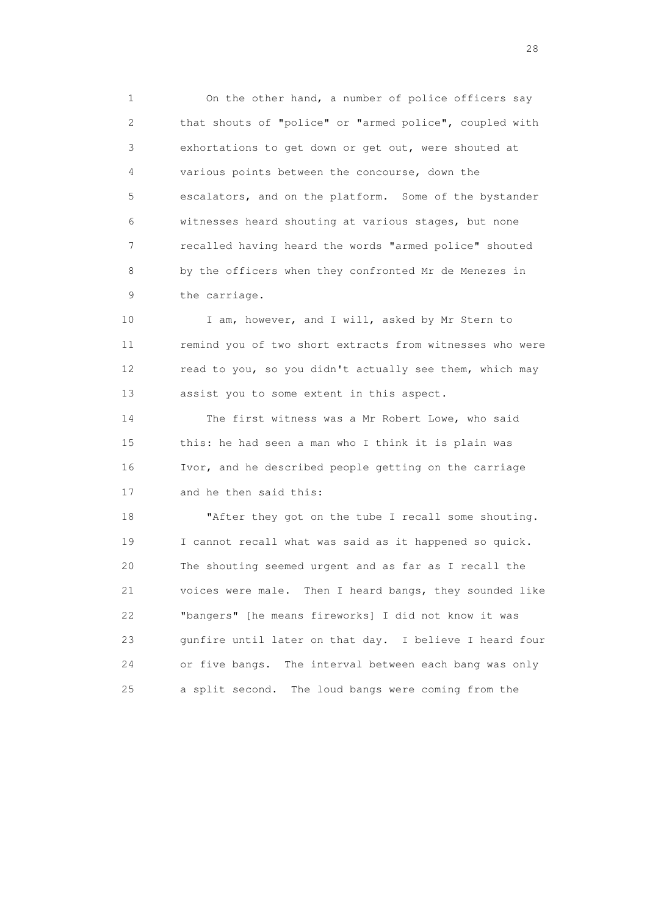1 On the other hand, a number of police officers say 2 that shouts of "police" or "armed police", coupled with 3 exhortations to get down or get out, were shouted at 4 various points between the concourse, down the 5 escalators, and on the platform. Some of the bystander 6 witnesses heard shouting at various stages, but none 7 recalled having heard the words "armed police" shouted 8 by the officers when they confronted Mr de Menezes in 9 the carriage.

10 I am, however, and I will, asked by Mr Stern to 11 remind you of two short extracts from witnesses who were 12 read to you, so you didn't actually see them, which may 13 assist you to some extent in this aspect.

 14 The first witness was a Mr Robert Lowe, who said 15 this: he had seen a man who I think it is plain was 16 Ivor, and he described people getting on the carriage 17 and he then said this:

18 "After they got on the tube I recall some shouting. 19 I cannot recall what was said as it happened so quick. 20 The shouting seemed urgent and as far as I recall the 21 voices were male. Then I heard bangs, they sounded like 22 "bangers" [he means fireworks] I did not know it was 23 gunfire until later on that day. I believe I heard four 24 or five bangs. The interval between each bang was only 25 a split second. The loud bangs were coming from the

28 and 28 and 28 and 28 and 28 and 28 and 28 and 28 and 28 and 28 and 28 and 28 and 28 and 28 and 28 and 28 and 28 and 28 and 28 and 28 and 28 and 28 and 28 and 28 and 28 and 28 and 28 and 28 and 28 and 28 and 28 and 28 an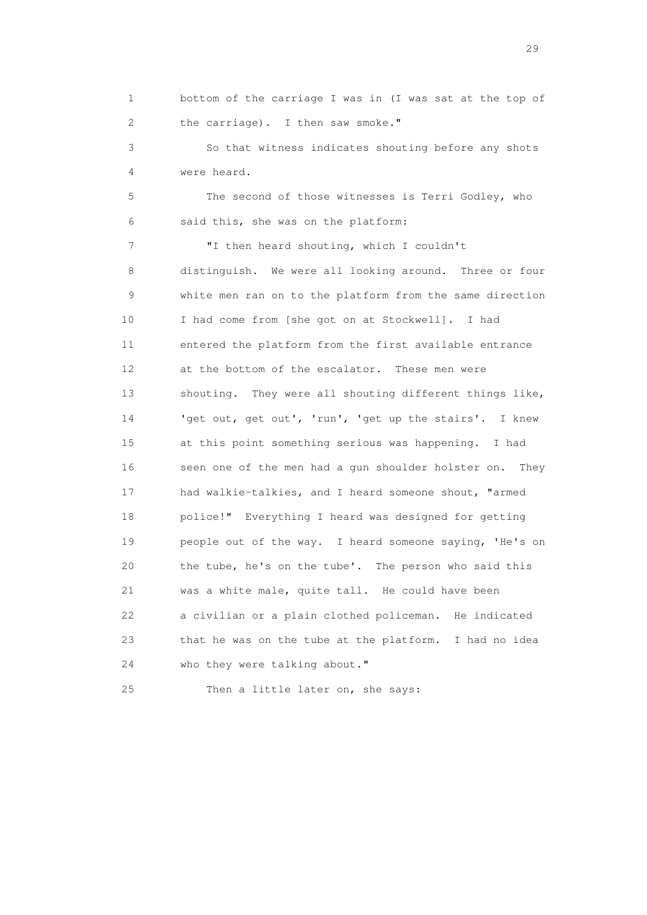1 bottom of the carriage I was in (I was sat at the top of 2 the carriage). I then saw smoke."

 3 So that witness indicates shouting before any shots 4 were heard.

 5 The second of those witnesses is Terri Godley, who 6 said this, she was on the platform:

 7 "I then heard shouting, which I couldn't 8 distinguish. We were all looking around. Three or four 9 white men ran on to the platform from the same direction 10 I had come from [she got on at Stockwell]. I had 11 entered the platform from the first available entrance 12 at the bottom of the escalator. These men were 13 shouting. They were all shouting different things like, 14 'get out, get out', 'run', 'get up the stairs'. I knew 15 at this point something serious was happening. I had 16 seen one of the men had a gun shoulder holster on. They 17 had walkie-talkies, and I heard someone shout, "armed 18 police!" Everything I heard was designed for getting 19 people out of the way. I heard someone saying, 'He's on 20 the tube, he's on the tube'. The person who said this 21 was a white male, quite tall. He could have been 22 a civilian or a plain clothed policeman. He indicated 23 that he was on the tube at the platform. I had no idea 24 who they were talking about."

25 Then a little later on, she says: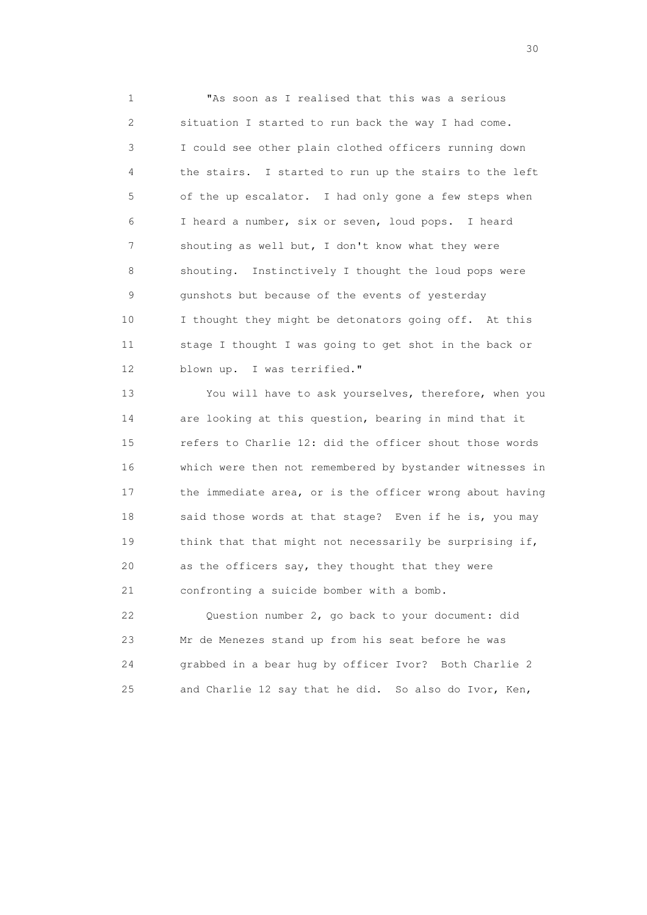1 "As soon as I realised that this was a serious 2 situation I started to run back the way I had come. 3 I could see other plain clothed officers running down 4 the stairs. I started to run up the stairs to the left 5 of the up escalator. I had only gone a few steps when 6 I heard a number, six or seven, loud pops. I heard 7 shouting as well but, I don't know what they were 8 shouting. Instinctively I thought the loud pops were 9 gunshots but because of the events of yesterday 10 I thought they might be detonators going off. At this 11 stage I thought I was going to get shot in the back or 12 blown up. I was terrified."

 13 You will have to ask yourselves, therefore, when you 14 are looking at this question, bearing in mind that it 15 refers to Charlie 12: did the officer shout those words 16 which were then not remembered by bystander witnesses in 17 the immediate area, or is the officer wrong about having 18 said those words at that stage? Even if he is, you may 19 think that that might not necessarily be surprising if, 20 as the officers say, they thought that they were 21 confronting a suicide bomber with a bomb.

 22 Question number 2, go back to your document: did 23 Mr de Menezes stand up from his seat before he was 24 grabbed in a bear hug by officer Ivor? Both Charlie 2 25 and Charlie 12 say that he did. So also do Ivor, Ken,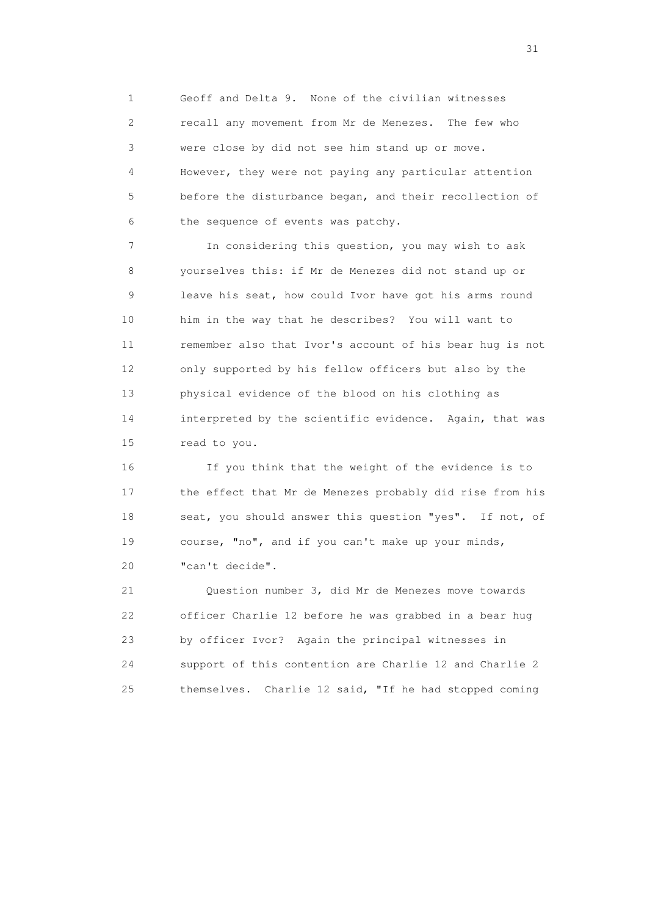1 Geoff and Delta 9. None of the civilian witnesses 2 recall any movement from Mr de Menezes. The few who 3 were close by did not see him stand up or move. 4 However, they were not paying any particular attention 5 before the disturbance began, and their recollection of 6 the sequence of events was patchy.

 7 In considering this question, you may wish to ask 8 yourselves this: if Mr de Menezes did not stand up or 9 leave his seat, how could Ivor have got his arms round 10 him in the way that he describes? You will want to 11 remember also that Ivor's account of his bear hug is not 12 only supported by his fellow officers but also by the 13 physical evidence of the blood on his clothing as 14 interpreted by the scientific evidence. Again, that was 15 read to you.

 16 If you think that the weight of the evidence is to 17 the effect that Mr de Menezes probably did rise from his 18 seat, you should answer this question "yes". If not, of 19 course, "no", and if you can't make up your minds, 20 "can't decide".

 21 Question number 3, did Mr de Menezes move towards 22 officer Charlie 12 before he was grabbed in a bear hug 23 by officer Ivor? Again the principal witnesses in 24 support of this contention are Charlie 12 and Charlie 2 25 themselves. Charlie 12 said, "If he had stopped coming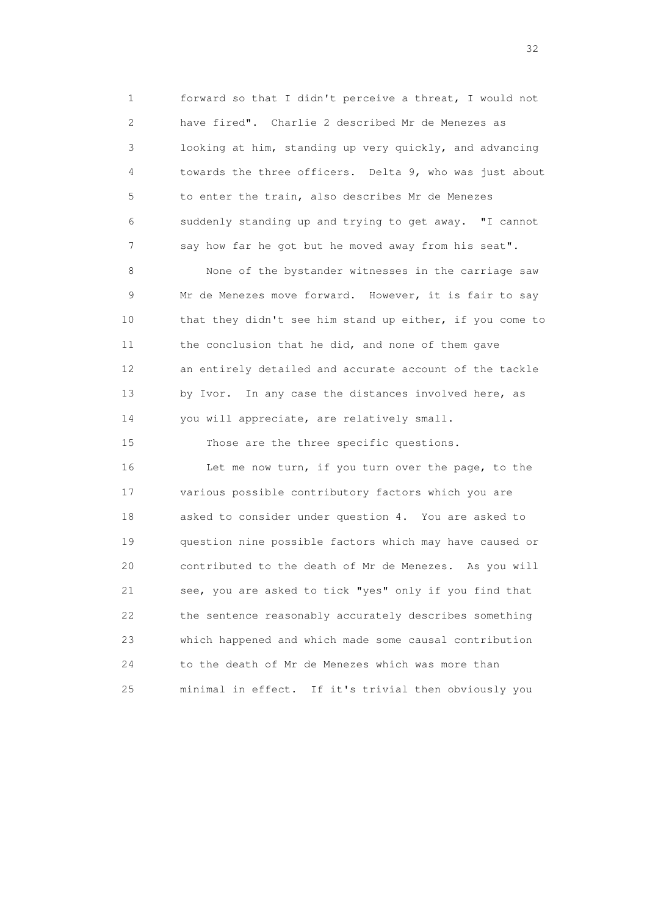1 forward so that I didn't perceive a threat, I would not 2 have fired". Charlie 2 described Mr de Menezes as 3 looking at him, standing up very quickly, and advancing 4 towards the three officers. Delta 9, who was just about 5 to enter the train, also describes Mr de Menezes 6 suddenly standing up and trying to get away. "I cannot 7 say how far he got but he moved away from his seat".

 8 None of the bystander witnesses in the carriage saw 9 Mr de Menezes move forward. However, it is fair to say 10 that they didn't see him stand up either, if you come to 11 the conclusion that he did, and none of them gave 12 an entirely detailed and accurate account of the tackle 13 by Ivor. In any case the distances involved here, as 14 you will appreciate, are relatively small.

 15 Those are the three specific questions. 16 Let me now turn, if you turn over the page, to the 17 various possible contributory factors which you are 18 asked to consider under question 4. You are asked to 19 question nine possible factors which may have caused or 20 contributed to the death of Mr de Menezes. As you will 21 see, you are asked to tick "yes" only if you find that 22 the sentence reasonably accurately describes something 23 which happened and which made some causal contribution 24 to the death of Mr de Menezes which was more than 25 minimal in effect. If it's trivial then obviously you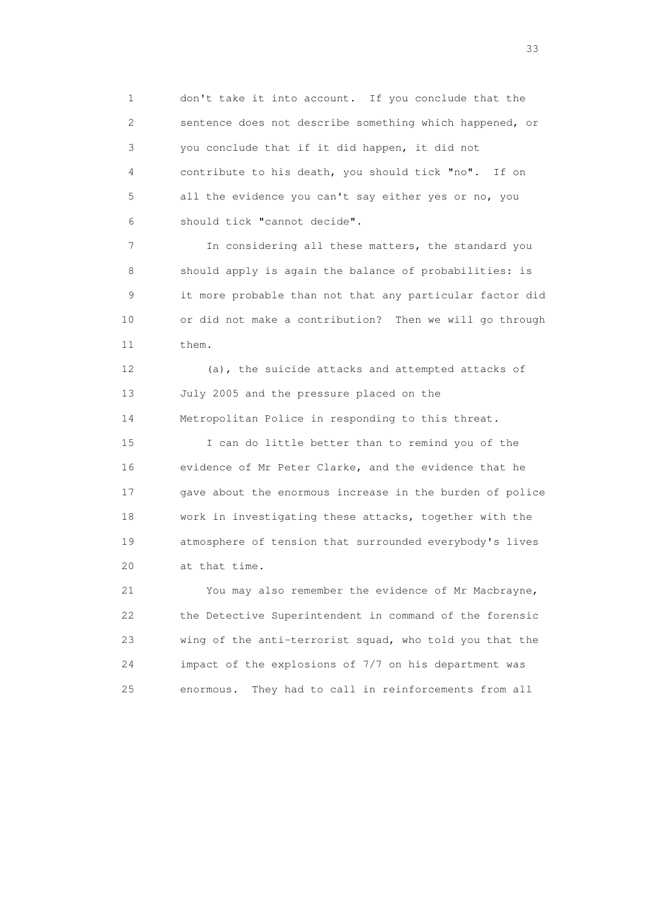1 don't take it into account. If you conclude that the 2 sentence does not describe something which happened, or 3 you conclude that if it did happen, it did not 4 contribute to his death, you should tick "no". If on 5 all the evidence you can't say either yes or no, you 6 should tick "cannot decide".

 7 In considering all these matters, the standard you 8 should apply is again the balance of probabilities: is 9 it more probable than not that any particular factor did 10 or did not make a contribution? Then we will go through 11 them.

 12 (a), the suicide attacks and attempted attacks of 13 July 2005 and the pressure placed on the 14 Metropolitan Police in responding to this threat.

 15 I can do little better than to remind you of the 16 evidence of Mr Peter Clarke, and the evidence that he 17 gave about the enormous increase in the burden of police 18 work in investigating these attacks, together with the 19 atmosphere of tension that surrounded everybody's lives 20 at that time.

 21 You may also remember the evidence of Mr Macbrayne, 22 the Detective Superintendent in command of the forensic 23 wing of the anti-terrorist squad, who told you that the 24 impact of the explosions of 7/7 on his department was 25 enormous. They had to call in reinforcements from all

<u>33</u> and the state of the state of the state of the state of the state of the state of the state of the state of the state of the state of the state of the state of the state of the state of the state of the state of the s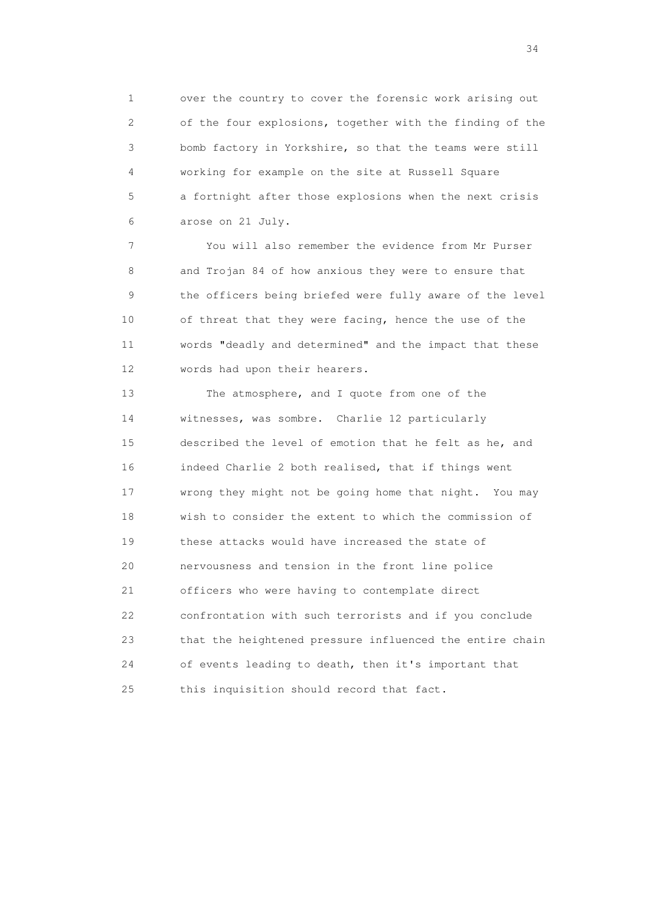1 over the country to cover the forensic work arising out 2 of the four explosions, together with the finding of the 3 bomb factory in Yorkshire, so that the teams were still 4 working for example on the site at Russell Square 5 a fortnight after those explosions when the next crisis 6 arose on 21 July.

 7 You will also remember the evidence from Mr Purser 8 and Trojan 84 of how anxious they were to ensure that 9 the officers being briefed were fully aware of the level 10 of threat that they were facing, hence the use of the 11 words "deadly and determined" and the impact that these 12 words had upon their hearers.

 13 The atmosphere, and I quote from one of the 14 witnesses, was sombre. Charlie 12 particularly 15 described the level of emotion that he felt as he, and 16 indeed Charlie 2 both realised, that if things went 17 wrong they might not be going home that night. You may 18 wish to consider the extent to which the commission of 19 these attacks would have increased the state of 20 nervousness and tension in the front line police 21 officers who were having to contemplate direct 22 confrontation with such terrorists and if you conclude 23 that the heightened pressure influenced the entire chain 24 of events leading to death, then it's important that 25 this inquisition should record that fact.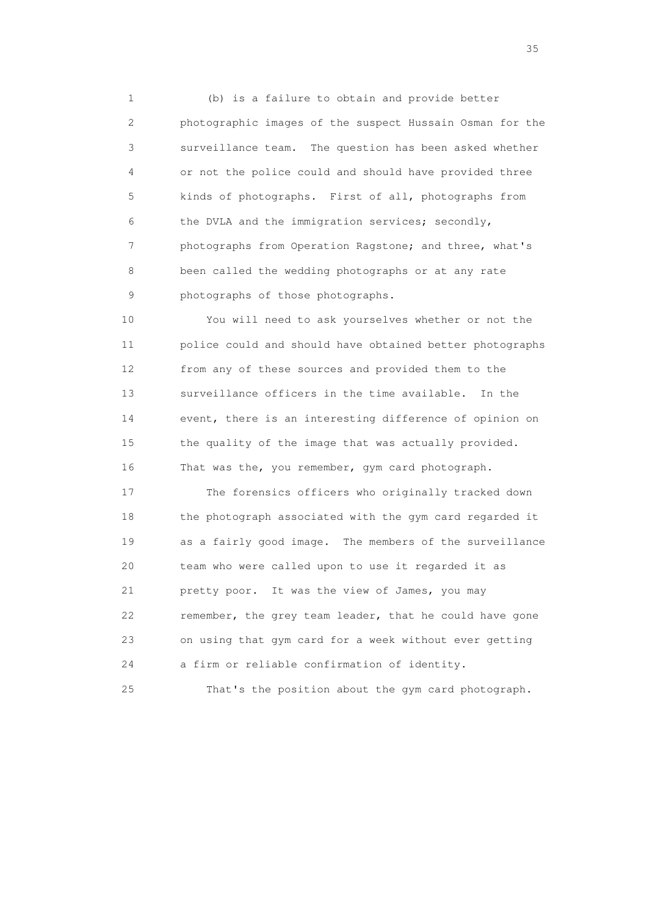1 (b) is a failure to obtain and provide better 2 photographic images of the suspect Hussain Osman for the 3 surveillance team. The question has been asked whether 4 or not the police could and should have provided three 5 kinds of photographs. First of all, photographs from 6 the DVLA and the immigration services; secondly, 7 photographs from Operation Ragstone; and three, what's 8 been called the wedding photographs or at any rate 9 photographs of those photographs.

 10 You will need to ask yourselves whether or not the 11 police could and should have obtained better photographs 12 from any of these sources and provided them to the 13 surveillance officers in the time available. In the 14 event, there is an interesting difference of opinion on 15 the quality of the image that was actually provided. 16 That was the, you remember, gym card photograph.

 17 The forensics officers who originally tracked down 18 the photograph associated with the gym card regarded it 19 as a fairly good image. The members of the surveillance 20 team who were called upon to use it regarded it as 21 pretty poor. It was the view of James, you may 22 remember, the grey team leader, that he could have gone 23 on using that gym card for a week without ever getting 24 a firm or reliable confirmation of identity.

25 That's the position about the gym card photograph.

<u>35</u> and the state of the state of the state of the state of the state of the state of the state of the state of the state of the state of the state of the state of the state of the state of the state of the state of the s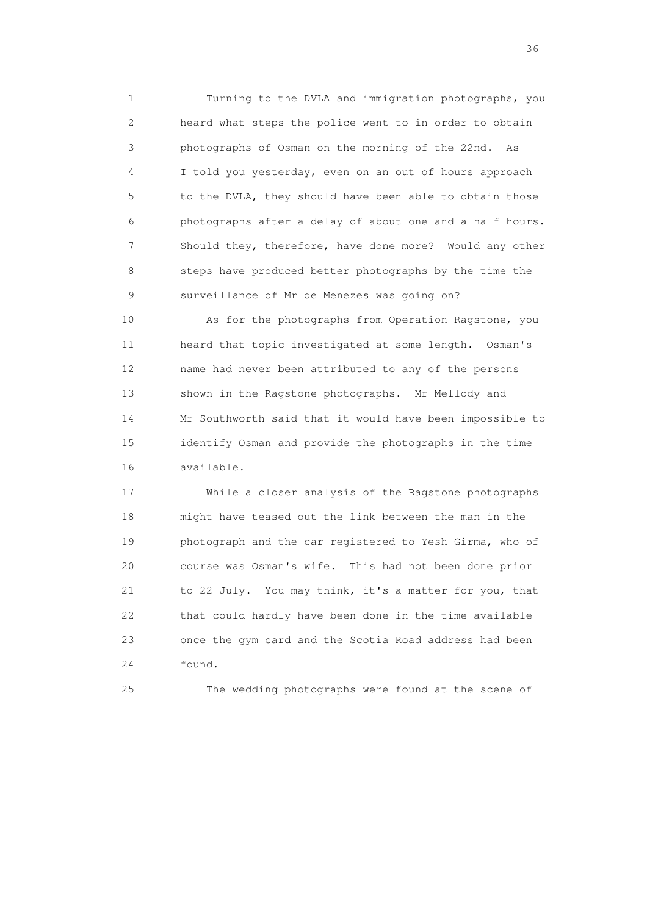1 Turning to the DVLA and immigration photographs, you 2 heard what steps the police went to in order to obtain 3 photographs of Osman on the morning of the 22nd. As 4 I told you yesterday, even on an out of hours approach 5 to the DVLA, they should have been able to obtain those 6 photographs after a delay of about one and a half hours. 7 Should they, therefore, have done more? Would any other 8 steps have produced better photographs by the time the 9 surveillance of Mr de Menezes was going on?

 10 As for the photographs from Operation Ragstone, you 11 heard that topic investigated at some length. Osman's 12 name had never been attributed to any of the persons 13 shown in the Ragstone photographs. Mr Mellody and 14 Mr Southworth said that it would have been impossible to 15 identify Osman and provide the photographs in the time 16 available.

 17 While a closer analysis of the Ragstone photographs 18 might have teased out the link between the man in the 19 photograph and the car registered to Yesh Girma, who of 20 course was Osman's wife. This had not been done prior 21 to 22 July. You may think, it's a matter for you, that 22 that could hardly have been done in the time available 23 once the gym card and the Scotia Road address had been 24 found.

25 The wedding photographs were found at the scene of

 $36<sup>2</sup>$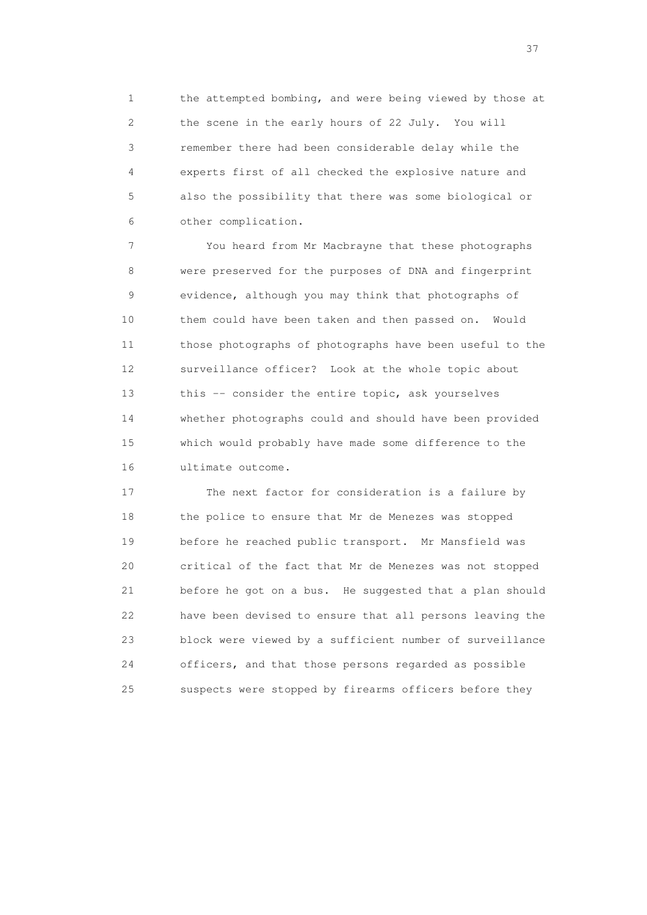1 the attempted bombing, and were being viewed by those at 2 the scene in the early hours of 22 July. You will 3 remember there had been considerable delay while the 4 experts first of all checked the explosive nature and 5 also the possibility that there was some biological or 6 other complication.

 7 You heard from Mr Macbrayne that these photographs 8 were preserved for the purposes of DNA and fingerprint 9 evidence, although you may think that photographs of 10 them could have been taken and then passed on. Would 11 those photographs of photographs have been useful to the 12 surveillance officer? Look at the whole topic about 13 this -- consider the entire topic, ask yourselves 14 whether photographs could and should have been provided 15 which would probably have made some difference to the 16 ultimate outcome.

 17 The next factor for consideration is a failure by 18 the police to ensure that Mr de Menezes was stopped 19 before he reached public transport. Mr Mansfield was 20 critical of the fact that Mr de Menezes was not stopped 21 before he got on a bus. He suggested that a plan should 22 have been devised to ensure that all persons leaving the 23 block were viewed by a sufficient number of surveillance 24 officers, and that those persons regarded as possible 25 suspects were stopped by firearms officers before they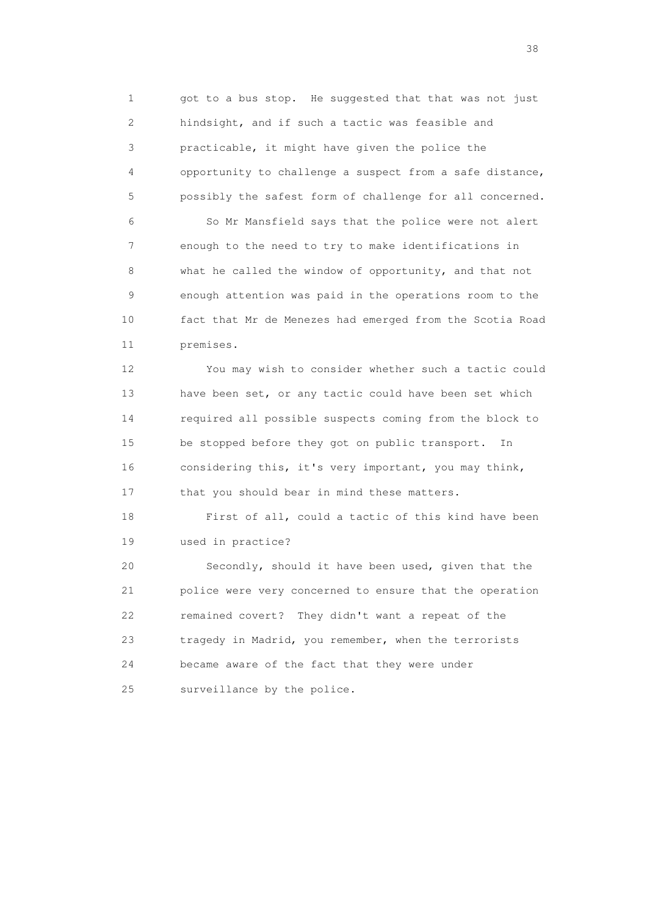1 got to a bus stop. He suggested that that was not just 2 hindsight, and if such a tactic was feasible and 3 practicable, it might have given the police the 4 opportunity to challenge a suspect from a safe distance, 5 possibly the safest form of challenge for all concerned.

 6 So Mr Mansfield says that the police were not alert 7 enough to the need to try to make identifications in 8 what he called the window of opportunity, and that not 9 enough attention was paid in the operations room to the 10 fact that Mr de Menezes had emerged from the Scotia Road 11 premises.

 12 You may wish to consider whether such a tactic could 13 have been set, or any tactic could have been set which 14 required all possible suspects coming from the block to 15 be stopped before they got on public transport. In 16 considering this, it's very important, you may think, 17 that you should bear in mind these matters.

 18 First of all, could a tactic of this kind have been 19 used in practice?

 20 Secondly, should it have been used, given that the 21 police were very concerned to ensure that the operation 22 remained covert? They didn't want a repeat of the 23 tragedy in Madrid, you remember, when the terrorists 24 became aware of the fact that they were under 25 surveillance by the police.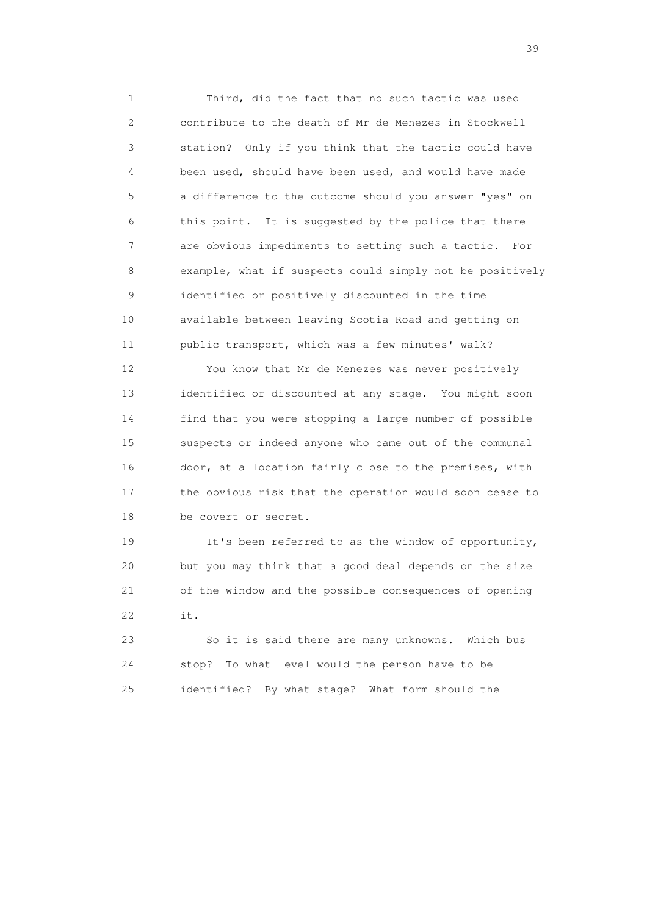1 Third, did the fact that no such tactic was used 2 contribute to the death of Mr de Menezes in Stockwell 3 station? Only if you think that the tactic could have 4 been used, should have been used, and would have made 5 a difference to the outcome should you answer "yes" on 6 this point. It is suggested by the police that there 7 are obvious impediments to setting such a tactic. For 8 example, what if suspects could simply not be positively 9 identified or positively discounted in the time 10 available between leaving Scotia Road and getting on 11 public transport, which was a few minutes' walk?

 12 You know that Mr de Menezes was never positively 13 identified or discounted at any stage. You might soon 14 find that you were stopping a large number of possible 15 suspects or indeed anyone who came out of the communal 16 door, at a location fairly close to the premises, with 17 the obvious risk that the operation would soon cease to 18 be covert or secret.

 19 It's been referred to as the window of opportunity, 20 but you may think that a good deal depends on the size 21 of the window and the possible consequences of opening 22 it.

 23 So it is said there are many unknowns. Which bus 24 stop? To what level would the person have to be 25 identified? By what stage? What form should the

 $39<sup>2</sup>$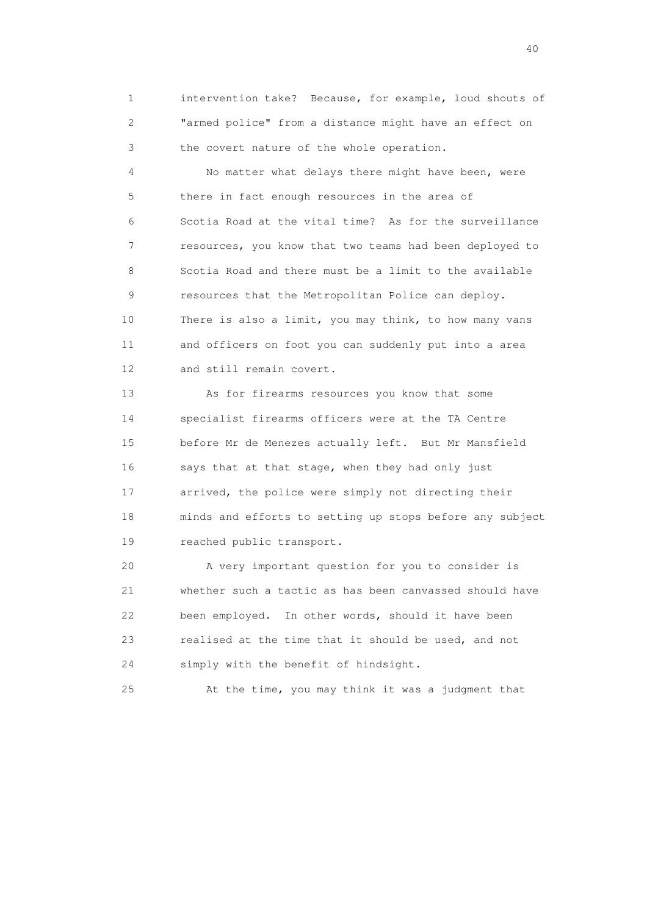1 intervention take? Because, for example, loud shouts of 2 "armed police" from a distance might have an effect on 3 the covert nature of the whole operation.

 4 No matter what delays there might have been, were 5 there in fact enough resources in the area of 6 Scotia Road at the vital time? As for the surveillance 7 resources, you know that two teams had been deployed to 8 Scotia Road and there must be a limit to the available 9 resources that the Metropolitan Police can deploy. 10 There is also a limit, you may think, to how many vans 11 and officers on foot you can suddenly put into a area 12 and still remain covert.

 13 As for firearms resources you know that some 14 specialist firearms officers were at the TA Centre 15 before Mr de Menezes actually left. But Mr Mansfield 16 says that at that stage, when they had only just 17 arrived, the police were simply not directing their 18 minds and efforts to setting up stops before any subject 19 reached public transport.

 20 A very important question for you to consider is 21 whether such a tactic as has been canvassed should have 22 been employed. In other words, should it have been 23 realised at the time that it should be used, and not 24 simply with the benefit of hindsight.

25 At the time, you may think it was a judgment that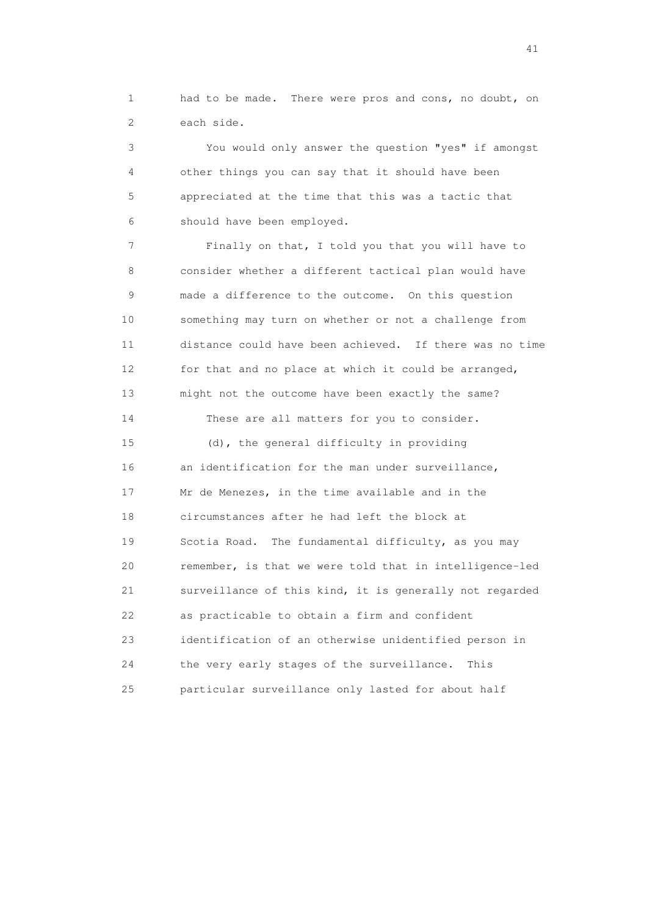1 had to be made. There were pros and cons, no doubt, on 2 each side.

 3 You would only answer the question "yes" if amongst 4 other things you can say that it should have been 5 appreciated at the time that this was a tactic that 6 should have been employed.

 7 Finally on that, I told you that you will have to 8 consider whether a different tactical plan would have 9 made a difference to the outcome. On this question 10 something may turn on whether or not a challenge from 11 distance could have been achieved. If there was no time 12 for that and no place at which it could be arranged, 13 might not the outcome have been exactly the same? 14 These are all matters for you to consider.

 15 (d), the general difficulty in providing 16 an identification for the man under surveillance, 17 Mr de Menezes, in the time available and in the 18 circumstances after he had left the block at 19 Scotia Road. The fundamental difficulty, as you may 20 remember, is that we were told that in intelligence-led 21 surveillance of this kind, it is generally not regarded 22 as practicable to obtain a firm and confident 23 identification of an otherwise unidentified person in 24 the very early stages of the surveillance. This 25 particular surveillance only lasted for about half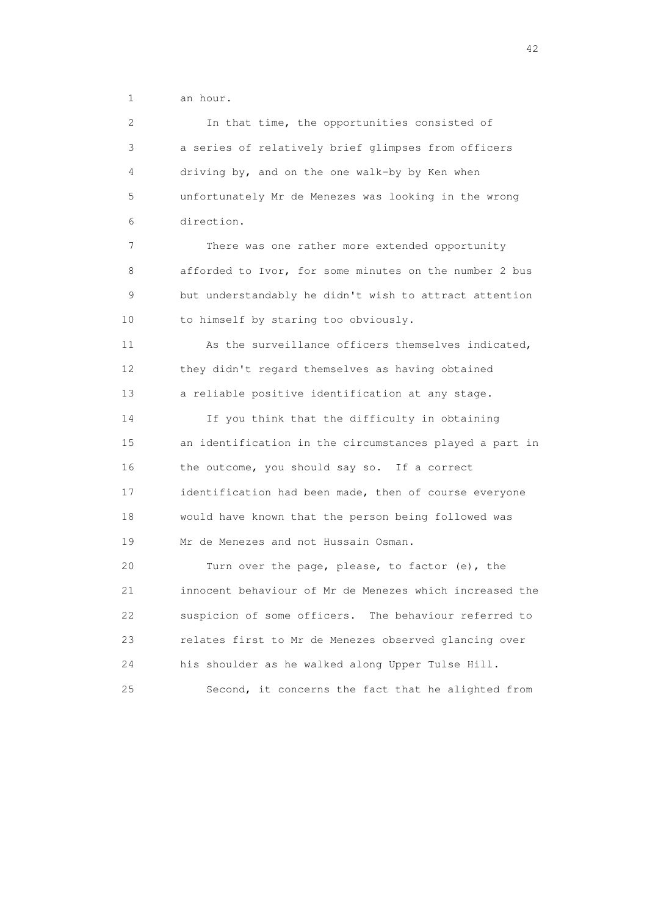1 an hour.

 2 In that time, the opportunities consisted of 3 a series of relatively brief glimpses from officers 4 driving by, and on the one walk-by by Ken when 5 unfortunately Mr de Menezes was looking in the wrong 6 direction.

 7 There was one rather more extended opportunity 8 afforded to Ivor, for some minutes on the number 2 bus 9 but understandably he didn't wish to attract attention 10 to himself by staring too obviously.

 11 As the surveillance officers themselves indicated, 12 they didn't regard themselves as having obtained 13 a reliable positive identification at any stage.

 14 If you think that the difficulty in obtaining 15 an identification in the circumstances played a part in 16 the outcome, you should say so. If a correct 17 identification had been made, then of course everyone 18 would have known that the person being followed was 19 Mr de Menezes and not Hussain Osman.

 20 Turn over the page, please, to factor (e), the 21 innocent behaviour of Mr de Menezes which increased the 22 suspicion of some officers. The behaviour referred to 23 relates first to Mr de Menezes observed glancing over 24 his shoulder as he walked along Upper Tulse Hill. 25 Second, it concerns the fact that he alighted from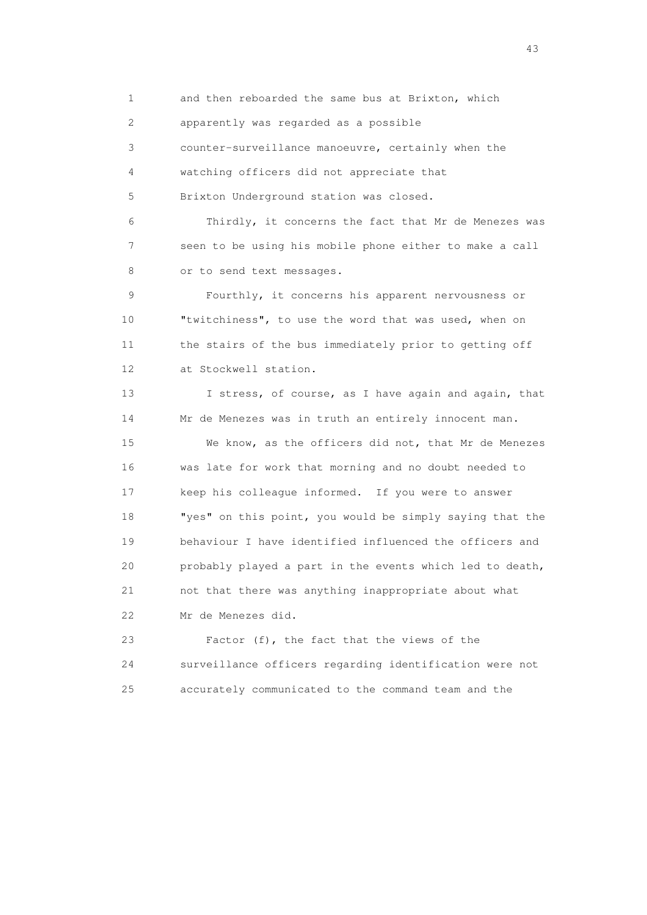1 and then reboarded the same bus at Brixton, which

2 apparently was regarded as a possible

3 counter-surveillance manoeuvre, certainly when the

4 watching officers did not appreciate that

5 Brixton Underground station was closed.

 6 Thirdly, it concerns the fact that Mr de Menezes was 7 seen to be using his mobile phone either to make a call 8 or to send text messages.

 9 Fourthly, it concerns his apparent nervousness or 10 "twitchiness", to use the word that was used, when on 11 the stairs of the bus immediately prior to getting off 12 at Stockwell station.

13 I stress, of course, as I have again and again, that 14 Mr de Menezes was in truth an entirely innocent man.

 15 We know, as the officers did not, that Mr de Menezes 16 was late for work that morning and no doubt needed to 17 keep his colleague informed. If you were to answer 18 "yes" on this point, you would be simply saying that the 19 behaviour I have identified influenced the officers and 20 probably played a part in the events which led to death, 21 not that there was anything inappropriate about what 22 Mr de Menezes did.

 23 Factor (f), the fact that the views of the 24 surveillance officers regarding identification were not 25 accurately communicated to the command team and the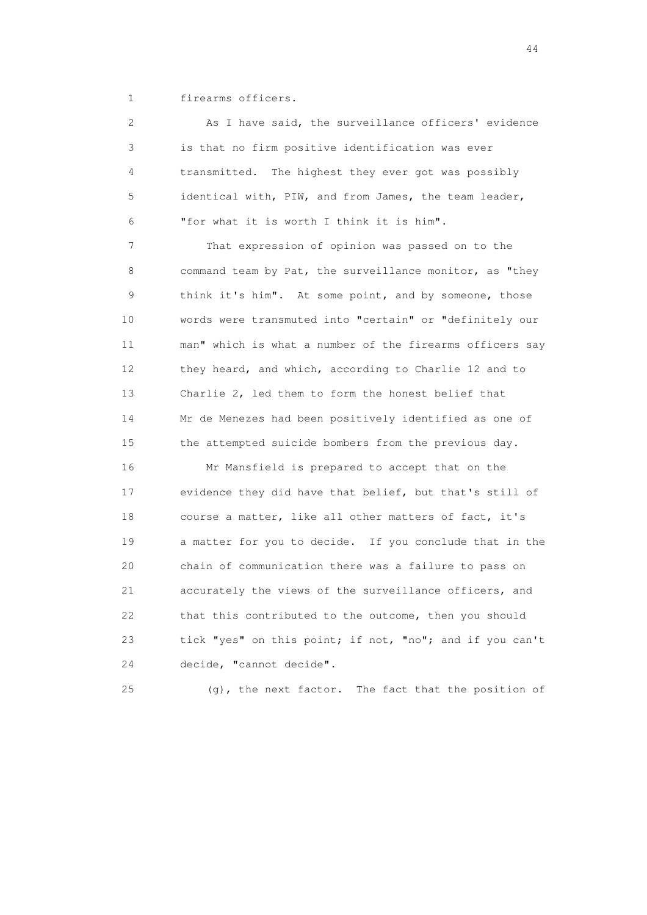1 firearms officers.

 2 As I have said, the surveillance officers' evidence 3 is that no firm positive identification was ever 4 transmitted. The highest they ever got was possibly 5 identical with, PIW, and from James, the team leader, 6 "for what it is worth I think it is him".

 7 That expression of opinion was passed on to the 8 command team by Pat, the surveillance monitor, as "they 9 think it's him". At some point, and by someone, those 10 words were transmuted into "certain" or "definitely our 11 man" which is what a number of the firearms officers say 12 they heard, and which, according to Charlie 12 and to 13 Charlie 2, led them to form the honest belief that 14 Mr de Menezes had been positively identified as one of 15 the attempted suicide bombers from the previous day.

 16 Mr Mansfield is prepared to accept that on the 17 evidence they did have that belief, but that's still of 18 course a matter, like all other matters of fact, it's 19 a matter for you to decide. If you conclude that in the 20 chain of communication there was a failure to pass on 21 accurately the views of the surveillance officers, and 22 that this contributed to the outcome, then you should 23 tick "yes" on this point; if not, "no"; and if you can't 24 decide, "cannot decide".

25 (g), the next factor. The fact that the position of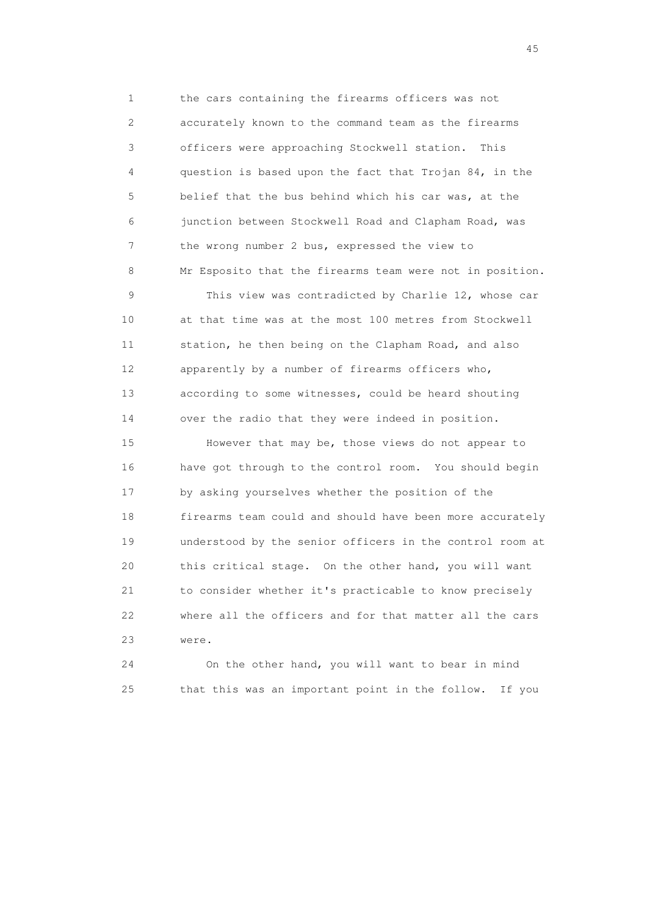1 the cars containing the firearms officers was not 2 accurately known to the command team as the firearms 3 officers were approaching Stockwell station. This 4 question is based upon the fact that Trojan 84, in the 5 belief that the bus behind which his car was, at the 6 junction between Stockwell Road and Clapham Road, was 7 the wrong number 2 bus, expressed the view to 8 Mr Esposito that the firearms team were not in position. 9 This view was contradicted by Charlie 12, whose car

 10 at that time was at the most 100 metres from Stockwell 11 station, he then being on the Clapham Road, and also 12 apparently by a number of firearms officers who, 13 according to some witnesses, could be heard shouting 14 over the radio that they were indeed in position.

 15 However that may be, those views do not appear to 16 have got through to the control room. You should begin 17 by asking yourselves whether the position of the 18 firearms team could and should have been more accurately 19 understood by the senior officers in the control room at 20 this critical stage. On the other hand, you will want 21 to consider whether it's practicable to know precisely 22 where all the officers and for that matter all the cars 23 were.

 24 On the other hand, you will want to bear in mind 25 that this was an important point in the follow. If you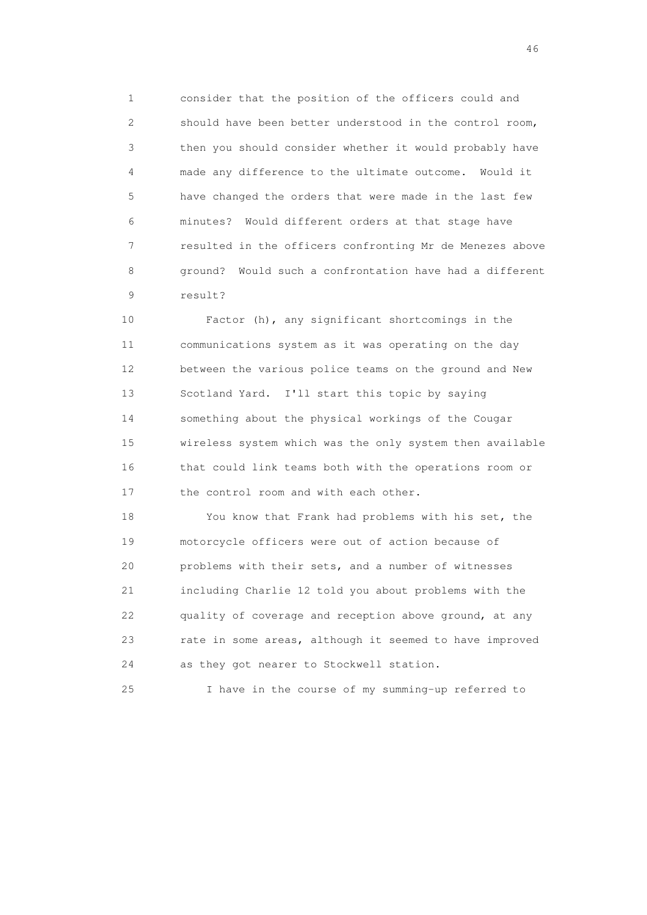1 consider that the position of the officers could and 2 should have been better understood in the control room, 3 then you should consider whether it would probably have 4 made any difference to the ultimate outcome. Would it 5 have changed the orders that were made in the last few 6 minutes? Would different orders at that stage have 7 resulted in the officers confronting Mr de Menezes above 8 ground? Would such a confrontation have had a different 9 result?

 10 Factor (h), any significant shortcomings in the 11 communications system as it was operating on the day 12 between the various police teams on the ground and New 13 Scotland Yard. I'll start this topic by saying 14 something about the physical workings of the Cougar 15 wireless system which was the only system then available 16 that could link teams both with the operations room or 17 the control room and with each other.

 18 You know that Frank had problems with his set, the 19 motorcycle officers were out of action because of 20 problems with their sets, and a number of witnesses 21 including Charlie 12 told you about problems with the 22 quality of coverage and reception above ground, at any 23 rate in some areas, although it seemed to have improved 24 as they got nearer to Stockwell station.

25 I have in the course of my summing-up referred to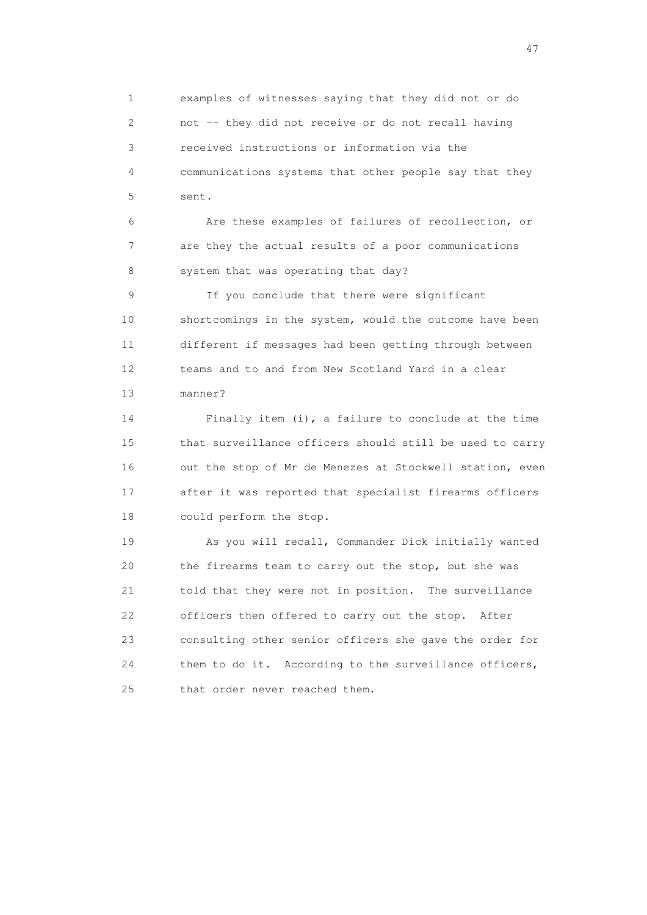1 examples of witnesses saying that they did not or do 2 not -- they did not receive or do not recall having 3 received instructions or information via the 4 communications systems that other people say that they 5 sent.

 6 Are these examples of failures of recollection, or 7 are they the actual results of a poor communications 8 system that was operating that day?

 9 If you conclude that there were significant 10 shortcomings in the system, would the outcome have been 11 different if messages had been getting through between 12 teams and to and from New Scotland Yard in a clear 13 manner?

 14 Finally item (i), a failure to conclude at the time 15 that surveillance officers should still be used to carry 16 out the stop of Mr de Menezes at Stockwell station, even 17 after it was reported that specialist firearms officers 18 could perform the stop.

 19 As you will recall, Commander Dick initially wanted 20 the firearms team to carry out the stop, but she was 21 told that they were not in position. The surveillance 22 officers then offered to carry out the stop. After 23 consulting other senior officers she gave the order for 24 them to do it. According to the surveillance officers, 25 that order never reached them.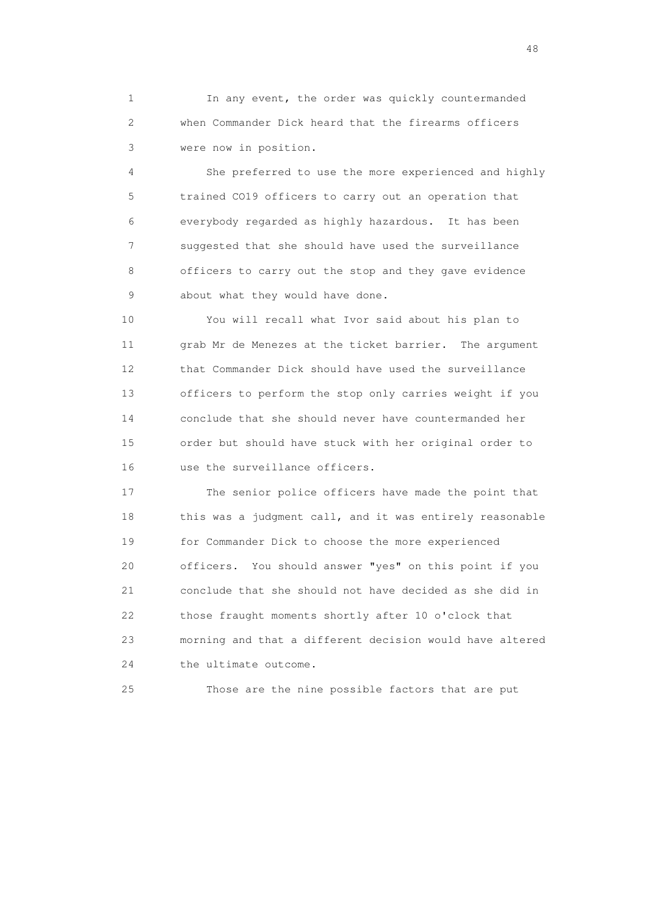1 In any event, the order was quickly countermanded 2 when Commander Dick heard that the firearms officers 3 were now in position.

 4 She preferred to use the more experienced and highly 5 trained CO19 officers to carry out an operation that 6 everybody regarded as highly hazardous. It has been 7 suggested that she should have used the surveillance 8 officers to carry out the stop and they gave evidence 9 about what they would have done.

 10 You will recall what Ivor said about his plan to 11 grab Mr de Menezes at the ticket barrier. The argument 12 that Commander Dick should have used the surveillance 13 officers to perform the stop only carries weight if you 14 conclude that she should never have countermanded her 15 order but should have stuck with her original order to 16 use the surveillance officers.

 17 The senior police officers have made the point that 18 this was a judgment call, and it was entirely reasonable 19 for Commander Dick to choose the more experienced 20 officers. You should answer "yes" on this point if you 21 conclude that she should not have decided as she did in 22 those fraught moments shortly after 10 o'clock that 23 morning and that a different decision would have altered 24 the ultimate outcome.

25 Those are the nine possible factors that are put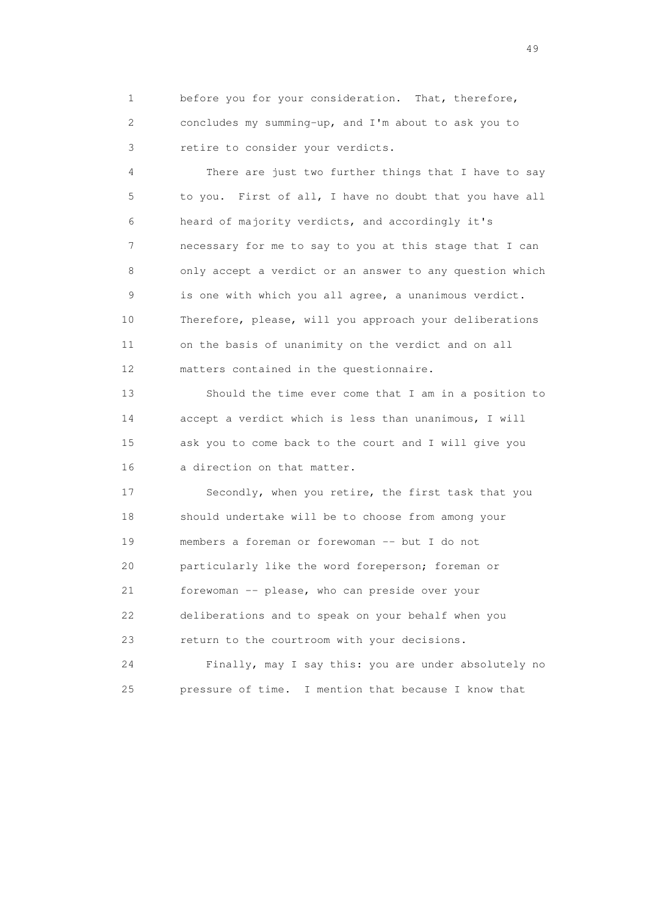1 before you for your consideration. That, therefore, 2 concludes my summing-up, and I'm about to ask you to 3 retire to consider your verdicts.

 4 There are just two further things that I have to say 5 to you. First of all, I have no doubt that you have all 6 heard of majority verdicts, and accordingly it's 7 necessary for me to say to you at this stage that I can 8 only accept a verdict or an answer to any question which 9 is one with which you all agree, a unanimous verdict. 10 Therefore, please, will you approach your deliberations 11 on the basis of unanimity on the verdict and on all 12 matters contained in the questionnaire.

 13 Should the time ever come that I am in a position to 14 accept a verdict which is less than unanimous, I will 15 ask you to come back to the court and I will give you 16 a direction on that matter.

 17 Secondly, when you retire, the first task that you 18 should undertake will be to choose from among your 19 members a foreman or forewoman -- but I do not 20 particularly like the word foreperson; foreman or 21 forewoman -- please, who can preside over your 22 deliberations and to speak on your behalf when you 23 return to the courtroom with your decisions.

 24 Finally, may I say this: you are under absolutely no 25 pressure of time. I mention that because I know that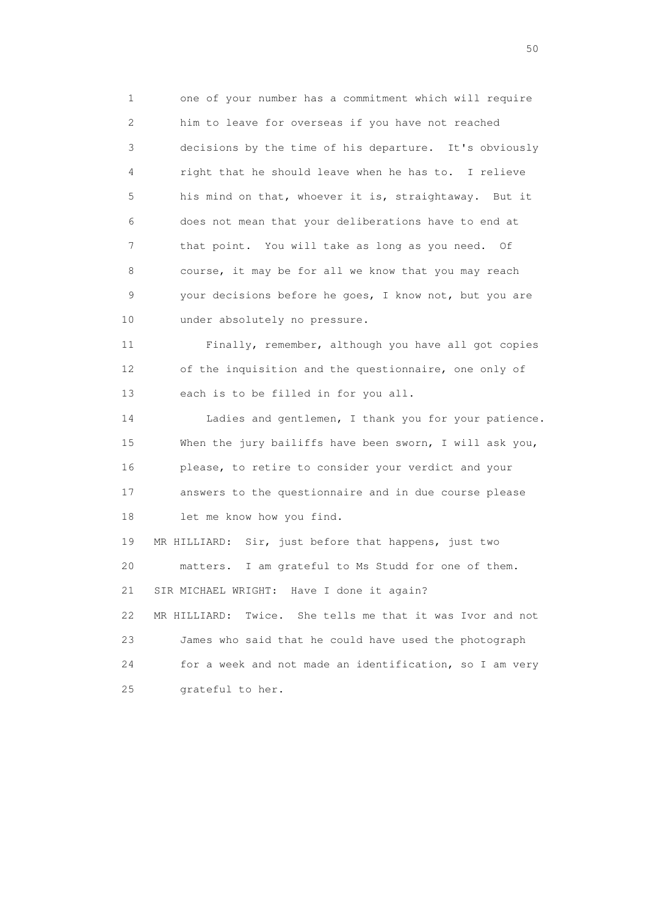1 one of your number has a commitment which will require 2 him to leave for overseas if you have not reached 3 decisions by the time of his departure. It's obviously 4 right that he should leave when he has to. I relieve 5 his mind on that, whoever it is, straightaway. But it 6 does not mean that your deliberations have to end at 7 that point. You will take as long as you need. Of 8 course, it may be for all we know that you may reach 9 your decisions before he goes, I know not, but you are 10 under absolutely no pressure.

 11 Finally, remember, although you have all got copies 12 of the inquisition and the questionnaire, one only of 13 each is to be filled in for you all.

 14 Ladies and gentlemen, I thank you for your patience. 15 When the jury bailiffs have been sworn, I will ask you, 16 please, to retire to consider your verdict and your 17 answers to the questionnaire and in due course please 18 let me know how you find.

 19 MR HILLIARD: Sir, just before that happens, just two 20 matters. I am grateful to Ms Studd for one of them. 21 SIR MICHAEL WRIGHT: Have I done it again? 22 MR HILLIARD: Twice. She tells me that it was Ivor and not 23 James who said that he could have used the photograph 24 for a week and not made an identification, so I am very 25 grateful to her.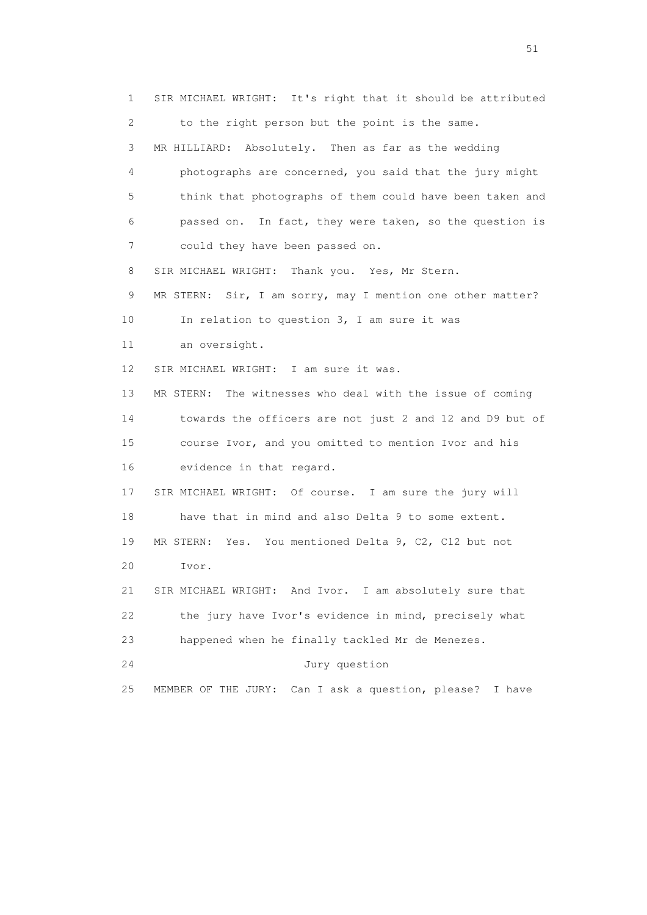1 SIR MICHAEL WRIGHT: It's right that it should be attributed 2 to the right person but the point is the same. 3 MR HILLIARD: Absolutely. Then as far as the wedding 4 photographs are concerned, you said that the jury might 5 think that photographs of them could have been taken and 6 passed on. In fact, they were taken, so the question is 7 could they have been passed on. 8 SIR MICHAEL WRIGHT: Thank you. Yes, Mr Stern. 9 MR STERN: Sir, I am sorry, may I mention one other matter? 10 In relation to question 3, I am sure it was 11 an oversight. 12 SIR MICHAEL WRIGHT: I am sure it was. 13 MR STERN: The witnesses who deal with the issue of coming 14 towards the officers are not just 2 and 12 and D9 but of 15 course Ivor, and you omitted to mention Ivor and his 16 evidence in that regard. 17 SIR MICHAEL WRIGHT: Of course. I am sure the jury will 18 have that in mind and also Delta 9 to some extent. 19 MR STERN: Yes. You mentioned Delta 9, C2, C12 but not 20 Ivor. 21 SIR MICHAEL WRIGHT: And Ivor. I am absolutely sure that 22 the jury have Ivor's evidence in mind, precisely what 23 happened when he finally tackled Mr de Menezes. 24 Jury question 25 MEMBER OF THE JURY: Can I ask a question, please? I have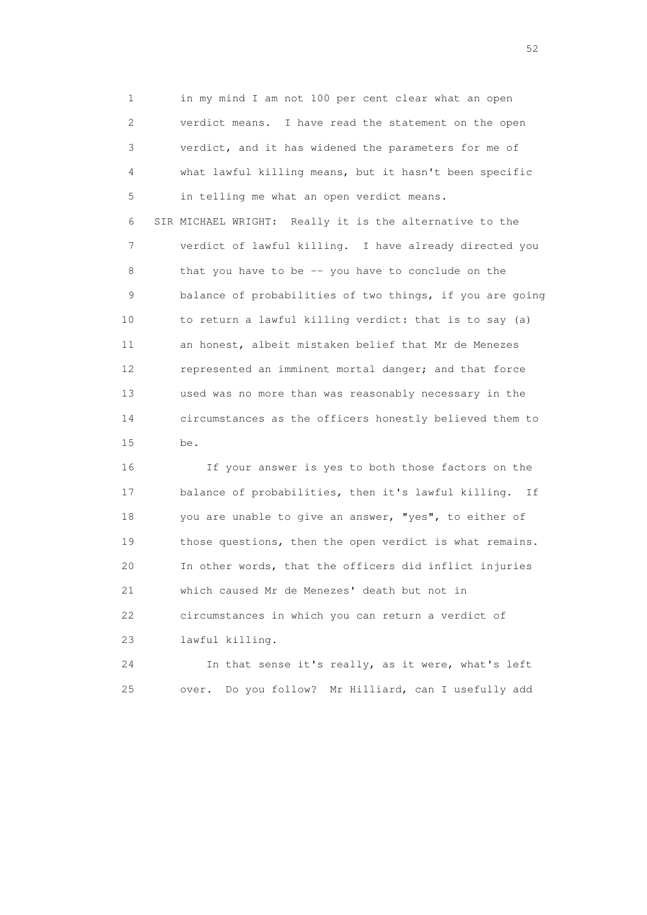1 in my mind I am not 100 per cent clear what an open 2 verdict means. I have read the statement on the open 3 verdict, and it has widened the parameters for me of 4 what lawful killing means, but it hasn't been specific 5 in telling me what an open verdict means. 6 SIR MICHAEL WRIGHT: Really it is the alternative to the 7 verdict of lawful killing. I have already directed you 8 that you have to be -- you have to conclude on the 9 balance of probabilities of two things, if you are going 10 to return a lawful killing verdict: that is to say (a) 11 an honest, albeit mistaken belief that Mr de Menezes 12 represented an imminent mortal danger; and that force 13 used was no more than was reasonably necessary in the 14 circumstances as the officers honestly believed them to 15 be.

 16 If your answer is yes to both those factors on the 17 balance of probabilities, then it's lawful killing. If 18 you are unable to give an answer, "yes", to either of 19 those questions, then the open verdict is what remains. 20 In other words, that the officers did inflict injuries 21 which caused Mr de Menezes' death but not in 22 circumstances in which you can return a verdict of 23 lawful killing.

 24 In that sense it's really, as it were, what's left 25 over. Do you follow? Mr Hilliard, can I usefully add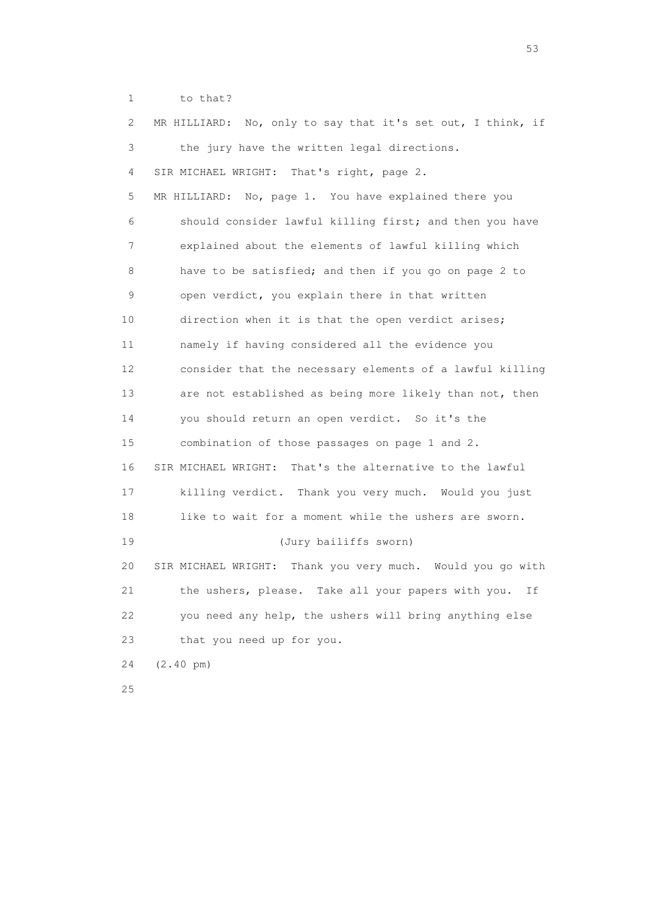1 to that?

| 2. | MR HILLIARD: No, only to say that it's set out, I think, if |
|----|-------------------------------------------------------------|
| 3  | the jury have the written legal directions.                 |
| 4  | SIR MICHAEL WRIGHT: That's right, page 2.                   |
| 5  | MR HILLIARD: No, page 1. You have explained there you       |
| 6  | should consider lawful killing first; and then you have     |
| 7  | explained about the elements of lawful killing which        |
| 8  | have to be satisfied; and then if you go on page 2 to       |
| 9  | open verdict, you explain there in that written             |
| 10 | direction when it is that the open verdict arises;          |
| 11 | namely if having considered all the evidence you            |
| 12 | consider that the necessary elements of a lawful killing    |
| 13 | are not established as being more likely than not, then     |
| 14 | you should return an open verdict. So it's the              |
| 15 | combination of those passages on page 1 and 2.              |
| 16 | SIR MICHAEL WRIGHT: That's the alternative to the lawful    |
| 17 | killing verdict. Thank you very much. Would you just        |
| 18 | like to wait for a moment while the ushers are sworn.       |
| 19 | (Jury bailiffs sworn)                                       |
| 20 | SIR MICHAEL WRIGHT: Thank you very much. Would you go with  |
| 21 | the ushers, please. Take all your papers with you.<br>Ιf    |
| 22 | you need any help, the ushers will bring anything else      |
| 23 | that you need up for you.                                   |
| 24 | $(2.40 \text{ pm})$                                         |
| 25 |                                                             |

 $\sim$  53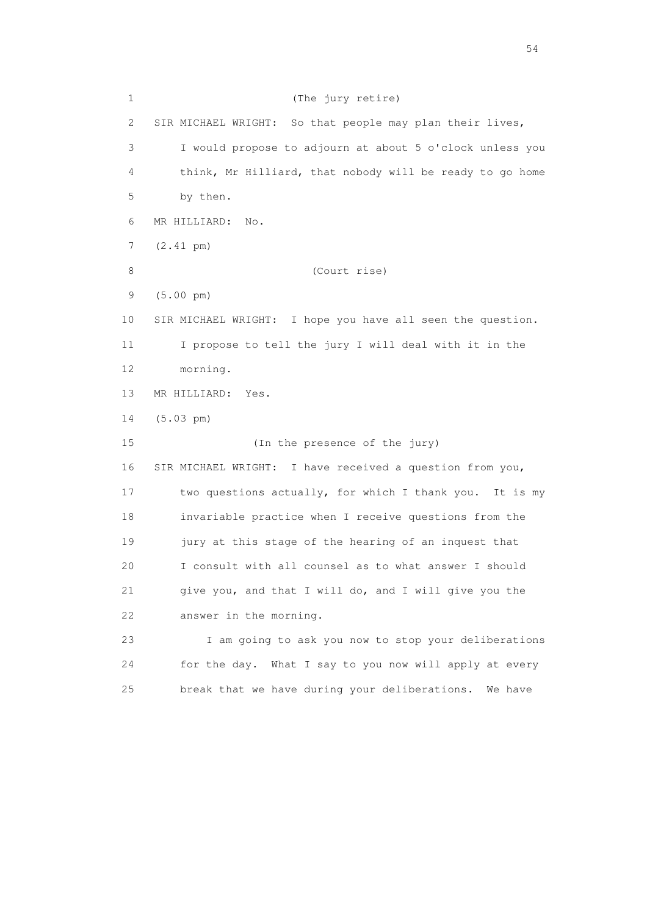1 (The jury retire) 2 SIR MICHAEL WRIGHT: So that people may plan their lives, 3 I would propose to adjourn at about 5 o'clock unless you 4 think, Mr Hilliard, that nobody will be ready to go home 5 by then. 6 MR HILLIARD: No. 7 (2.41 pm) 8 (Court rise) 9 (5.00 pm) 10 SIR MICHAEL WRIGHT: I hope you have all seen the question. 11 I propose to tell the jury I will deal with it in the 12 morning. 13 MR HILLIARD: Yes. 14 (5.03 pm) 15 (In the presence of the jury) 16 SIR MICHAEL WRIGHT: I have received a question from you, 17 two questions actually, for which I thank you. It is my 18 invariable practice when I receive questions from the 19 jury at this stage of the hearing of an inquest that 20 I consult with all counsel as to what answer I should 21 give you, and that I will do, and I will give you the 22 answer in the morning. 23 I am going to ask you now to stop your deliberations 24 for the day. What I say to you now will apply at every 25 break that we have during your deliberations. We have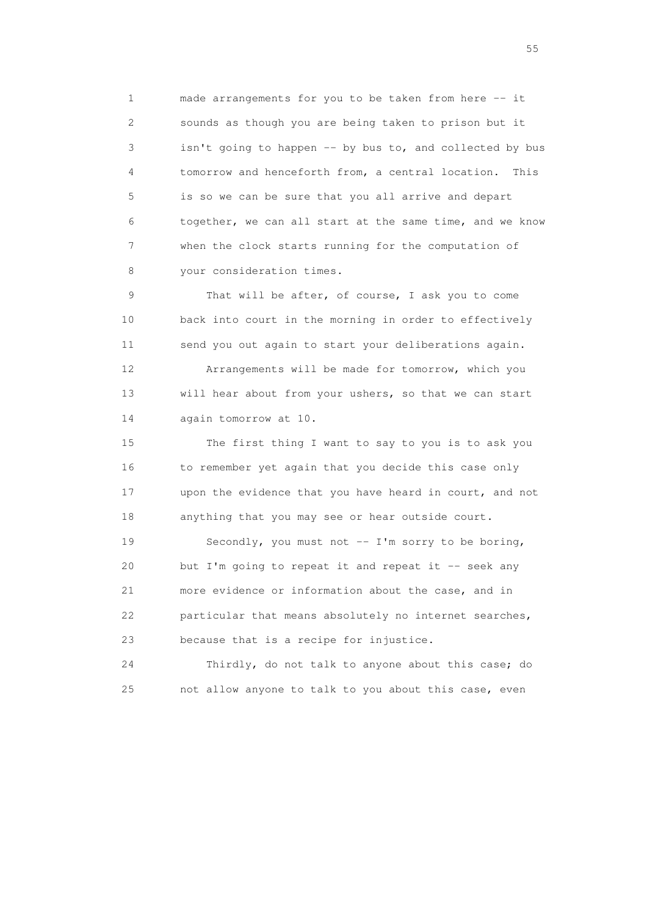1 made arrangements for you to be taken from here -- it 2 sounds as though you are being taken to prison but it 3 isn't going to happen -- by bus to, and collected by bus 4 tomorrow and henceforth from, a central location. This 5 is so we can be sure that you all arrive and depart 6 together, we can all start at the same time, and we know 7 when the clock starts running for the computation of 8 your consideration times.

 9 That will be after, of course, I ask you to come 10 back into court in the morning in order to effectively 11 send you out again to start your deliberations again. 12 Arrangements will be made for tomorrow, which you 13 will hear about from your ushers, so that we can start 14 again tomorrow at 10.

 15 The first thing I want to say to you is to ask you 16 to remember yet again that you decide this case only 17 upon the evidence that you have heard in court, and not 18 anything that you may see or hear outside court.

 19 Secondly, you must not -- I'm sorry to be boring, 20 but I'm going to repeat it and repeat it -- seek any 21 more evidence or information about the case, and in 22 particular that means absolutely no internet searches, 23 because that is a recipe for injustice.

 24 Thirdly, do not talk to anyone about this case; do 25 not allow anyone to talk to you about this case, even

the state of the state of the state of the state of the state of the state of the state of the state of the state of the state of the state of the state of the state of the state of the state of the state of the state of t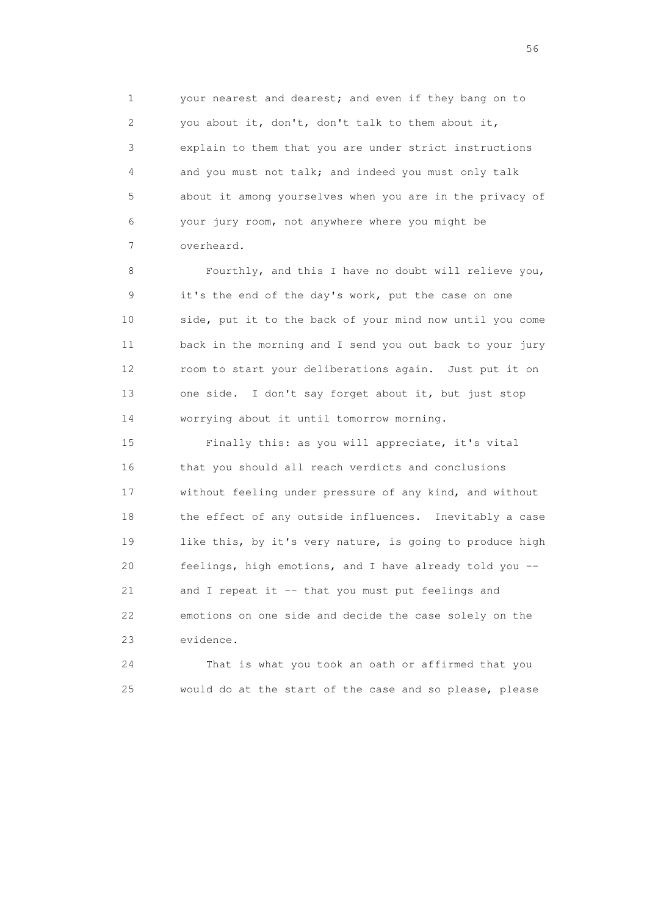1 your nearest and dearest; and even if they bang on to 2 you about it, don't, don't talk to them about it, 3 explain to them that you are under strict instructions 4 and you must not talk; and indeed you must only talk 5 about it among yourselves when you are in the privacy of 6 your jury room, not anywhere where you might be 7 overheard.

 8 Fourthly, and this I have no doubt will relieve you, 9 it's the end of the day's work, put the case on one 10 side, put it to the back of your mind now until you come 11 back in the morning and I send you out back to your jury 12 room to start your deliberations again. Just put it on 13 one side. I don't say forget about it, but just stop 14 worrying about it until tomorrow morning.

 15 Finally this: as you will appreciate, it's vital 16 that you should all reach verdicts and conclusions 17 without feeling under pressure of any kind, and without 18 the effect of any outside influences. Inevitably a case 19 like this, by it's very nature, is going to produce high 20 feelings, high emotions, and I have already told you -- 21 and I repeat it -- that you must put feelings and 22 emotions on one side and decide the case solely on the 23 evidence.

 24 That is what you took an oath or affirmed that you 25 would do at the start of the case and so please, please

 $56<sup>o</sup>$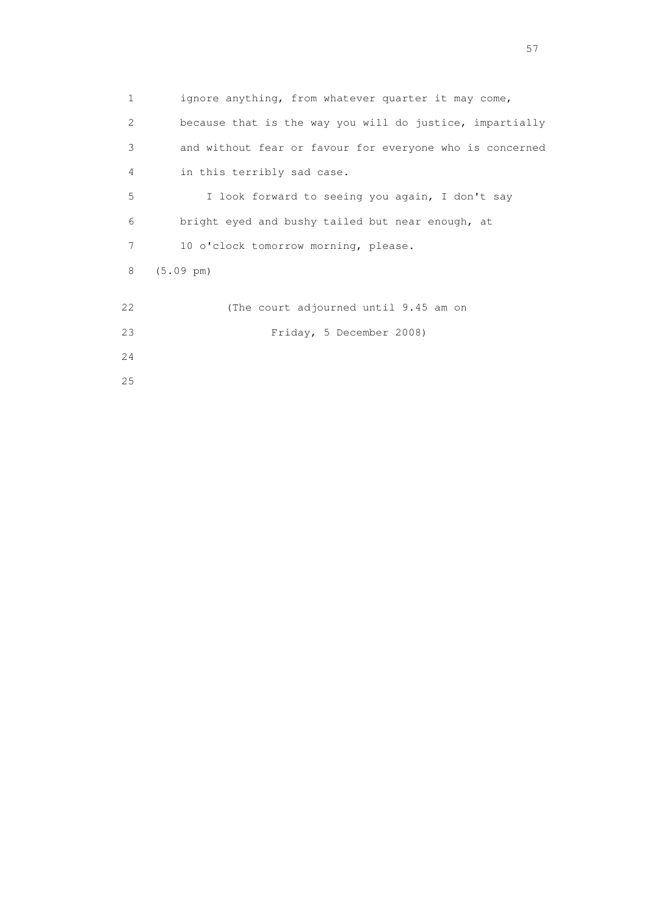| $\mathbf{1}$ | ignore anything, from whatever quarter it may come,      |
|--------------|----------------------------------------------------------|
| 2            | because that is the way you will do justice, impartially |
| 3            | and without fear or favour for everyone who is concerned |
| 4            | in this terribly sad case.                               |
| 5            | I look forward to seeing you again, I don't say          |
| 6            | bright eyed and bushy tailed but near enough, at         |
| 7            | 10 o'clock tomorrow morning, please.                     |
| 8            | $(5.09 \text{ pm})$                                      |
|              |                                                          |
| 22           | (The court adjourned until 9.45 am on                    |
| 23           | Friday, 5 December 2008)                                 |
| 24           |                                                          |
| 25           |                                                          |